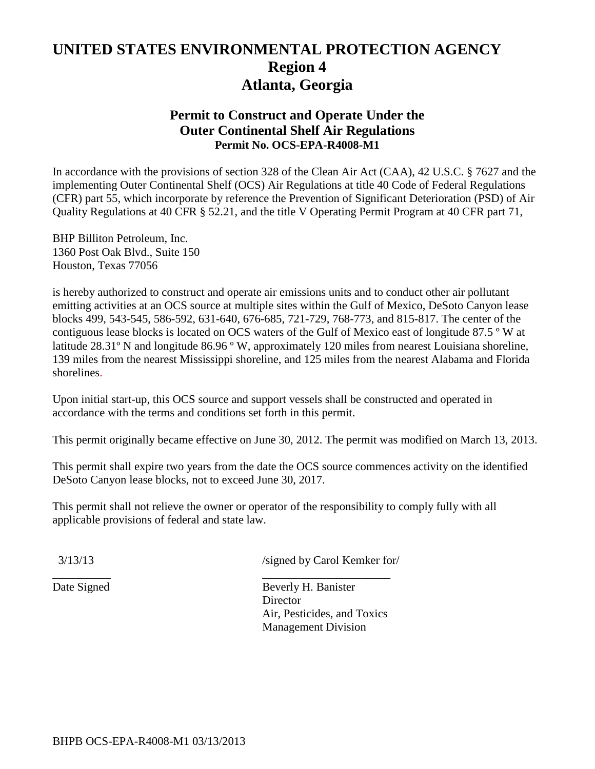# **UNITED STATES ENVIRONMENTAL PROTECTION AGENCY Region 4 Atlanta, Georgia**

## **Permit to Construct and Operate Under the Outer Continental Shelf Air Regulations Permit No. OCS-EPA-R4008-M1**

In accordance with the provisions of section 328 of the Clean Air Act (CAA), 42 U.S.C. § 7627 and the implementing Outer Continental Shelf (OCS) Air Regulations at title 40 Code of Federal Regulations (CFR) part 55, which incorporate by reference the Prevention of Significant Deterioration (PSD) of Air Quality Regulations at 40 CFR § 52.21, and the title V Operating Permit Program at 40 CFR part 71,

BHP Billiton Petroleum, Inc. 1360 Post Oak Blvd., Suite 150 Houston, Texas 77056

is hereby authorized to construct and operate air emissions units and to conduct other air pollutant emitting activities at an OCS source at multiple sites within the Gulf of Mexico, DeSoto Canyon lease blocks 499, 543-545, 586-592, 631-640, 676-685, 721-729, 768-773, and 815-817. The center of the contiguous lease blocks is located on OCS waters of the Gulf of Mexico east of longitude 87.5 º W at latitude 28.31º N and longitude 86.96 º W, approximately 120 miles from nearest Louisiana shoreline, 139 miles from the nearest Mississippi shoreline, and 125 miles from the nearest Alabama and Florida shorelines.

Upon initial start-up, this OCS source and support vessels shall be constructed and operated in accordance with the terms and conditions set forth in this permit.

This permit originally became effective on June 30, 2012. The permit was modified on March 13, 2013.

This permit shall expire two years from the date the OCS source commences activity on the identified DeSoto Canyon lease blocks, not to exceed June 30, 2017.

This permit shall not relieve the owner or operator of the responsibility to comply fully with all applicable provisions of federal and state law.

\_\_\_\_\_\_\_\_\_\_ \_\_\_\_\_\_\_\_\_\_\_\_\_\_\_\_\_\_\_\_\_\_

3/13/13 /signed by Carol Kemker for/

Date Signed Beverly H. Banister **Director** Air, Pesticides, and Toxics Management Division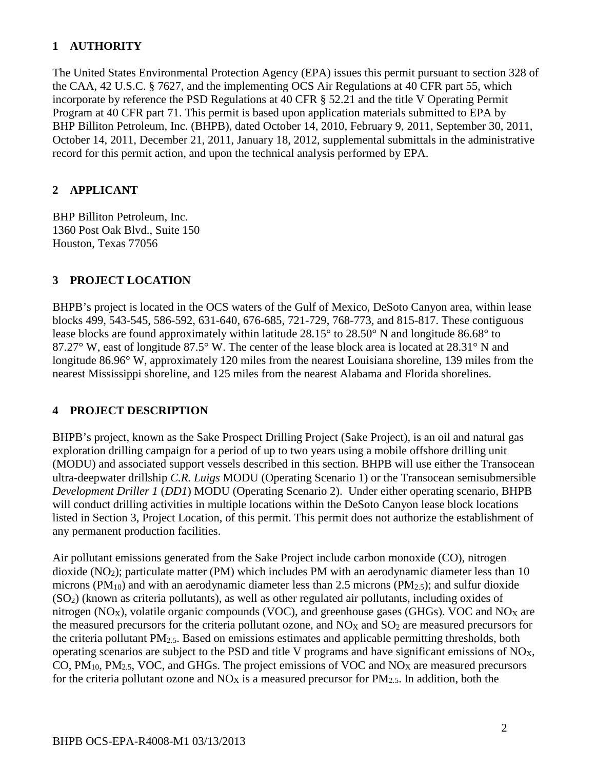## **1 AUTHORITY**

The United States Environmental Protection Agency (EPA) issues this permit pursuant to section 328 of the CAA, 42 U.S.C. § 7627, and the implementing OCS Air Regulations at 40 CFR part 55, which incorporate by reference the PSD Regulations at 40 CFR § 52.21 and the title V Operating Permit Program at 40 CFR part 71. This permit is based upon application materials submitted to EPA by BHP Billiton Petroleum, Inc. (BHPB), dated October 14, 2010, February 9, 2011, September 30, 2011, October 14, 2011, December 21, 2011, January 18, 2012, supplemental submittals in the administrative record for this permit action, and upon the technical analysis performed by EPA.

## **2 APPLICANT**

BHP Billiton Petroleum, Inc. 1360 Post Oak Blvd., Suite 150 Houston, Texas 77056

## **3 PROJECT LOCATION**

BHPB's project is located in the OCS waters of the Gulf of Mexico, DeSoto Canyon area, within lease blocks 499, 543-545, 586-592, 631-640, 676-685, 721-729, 768-773, and 815-817. These contiguous lease blocks are found approximately within latitude 28.15° to 28.50° N and longitude 86.68° to 87.27° W, east of longitude 87.5° W. The center of the lease block area is located at 28.31° N and longitude 86.96° W, approximately 120 miles from the nearest Louisiana shoreline, 139 miles from the nearest Mississippi shoreline, and 125 miles from the nearest Alabama and Florida shorelines.

## **4 PROJECT DESCRIPTION**

BHPB's project, known as the Sake Prospect Drilling Project (Sake Project), is an oil and natural gas exploration drilling campaign for a period of up to two years using a mobile offshore drilling unit (MODU) and associated support vessels described in this section. BHPB will use either the Transocean ultra-deepwater drillship *C.R. Luigs* MODU (Operating Scenario 1) or the Transocean semisubmersible *Development Driller 1* (*DD1*) MODU (Operating Scenario 2). Under either operating scenario, BHPB will conduct drilling activities in multiple locations within the DeSoto Canyon lease block locations listed in Section 3, Project Location, of this permit. This permit does not authorize the establishment of any permanent production facilities.

Air pollutant emissions generated from the Sake Project include carbon monoxide (CO), nitrogen dioxide (NO2); particulate matter (PM) which includes PM with an aerodynamic diameter less than 10 microns ( $PM_{10}$ ) and with an aerodynamic diameter less than 2.5 microns ( $PM_{2.5}$ ); and sulfur dioxide (SO2) (known as criteria pollutants), as well as other regulated air pollutants, including oxides of nitrogen ( $NO<sub>X</sub>$ ), volatile organic compounds ( $VOC$ ), and greenhouse gases ( $GHGs$ ). VOC and  $NO<sub>X</sub>$  are the measured precursors for the criteria pollutant ozone, and  $NO<sub>X</sub>$  and  $SO<sub>2</sub>$  are measured precursors for the criteria pollutant  $PM_{2.5}$ . Based on emissions estimates and applicable permitting thresholds, both operating scenarios are subject to the PSD and title V programs and have significant emissions of NOX, CO,  $PM_{10}$ ,  $PM_{2.5}$ , VOC, and GHGs. The project emissions of VOC and NO<sub>X</sub> are measured precursors for the criteria pollutant ozone and  $NO<sub>X</sub>$  is a measured precursor for  $PM<sub>2.5</sub>$ . In addition, both the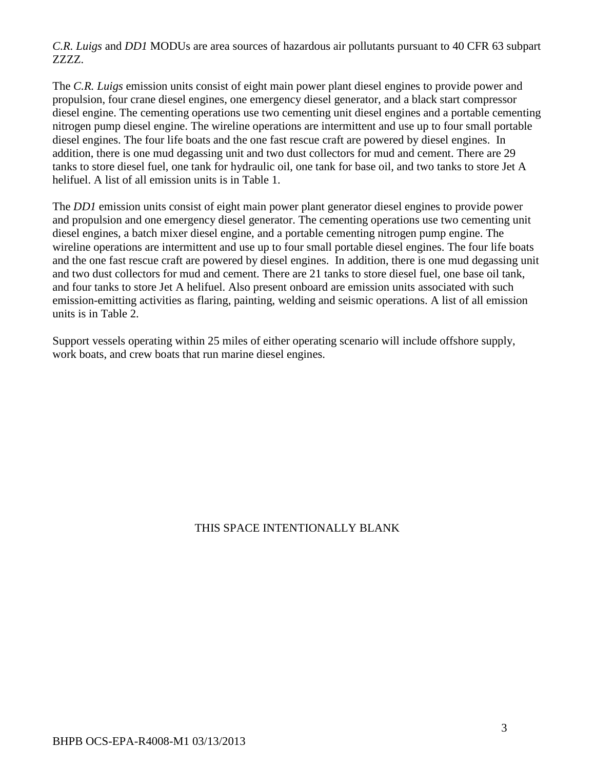*C.R. Luigs* and *DD1* MODUs are area sources of hazardous air pollutants pursuant to 40 CFR 63 subpart ZZZZ.

The *C.R. Luigs* emission units consist of eight main power plant diesel engines to provide power and propulsion, four crane diesel engines, one emergency diesel generator, and a black start compressor diesel engine. The cementing operations use two cementing unit diesel engines and a portable cementing nitrogen pump diesel engine. The wireline operations are intermittent and use up to four small portable diesel engines. The four life boats and the one fast rescue craft are powered by diesel engines. In addition, there is one mud degassing unit and two dust collectors for mud and cement. There are 29 tanks to store diesel fuel, one tank for hydraulic oil, one tank for base oil, and two tanks to store Jet A helifuel. A list of all emission units is in Table 1.

The *DD1* emission units consist of eight main power plant generator diesel engines to provide power and propulsion and one emergency diesel generator. The cementing operations use two cementing unit diesel engines, a batch mixer diesel engine, and a portable cementing nitrogen pump engine. The wireline operations are intermittent and use up to four small portable diesel engines. The four life boats and the one fast rescue craft are powered by diesel engines. In addition, there is one mud degassing unit and two dust collectors for mud and cement. There are 21 tanks to store diesel fuel, one base oil tank, and four tanks to store Jet A helifuel. Also present onboard are emission units associated with such emission-emitting activities as flaring, painting, welding and seismic operations. A list of all emission units is in Table 2.

Support vessels operating within 25 miles of either operating scenario will include offshore supply, work boats, and crew boats that run marine diesel engines.

## THIS SPACE INTENTIONALLY BLANK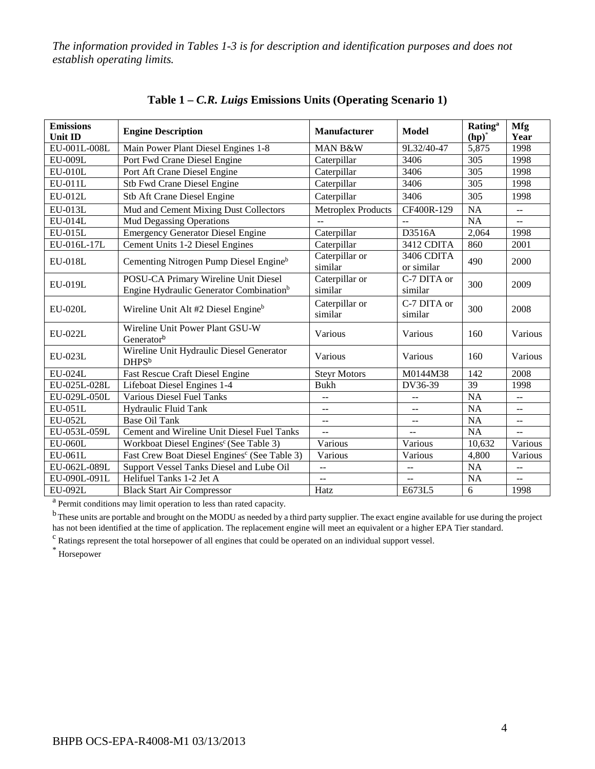*The information provided in Tables 1-3 is for description and identification purposes and does not establish operating limits.*

| <b>Emissions</b><br><b>Unit ID</b> | <b>Engine Description</b>                                                                   | Manufacturer              | <b>Model</b>             | <b>Rating</b> <sup>a</sup><br>$(hp)^*$ | <b>Mfg</b><br>Year                            |
|------------------------------------|---------------------------------------------------------------------------------------------|---------------------------|--------------------------|----------------------------------------|-----------------------------------------------|
| EU-001L-008L                       | Main Power Plant Diesel Engines 1-8                                                         | MAN B&W                   | 9L32/40-47               | 5,875                                  | 1998                                          |
| EU-009L                            | Port Fwd Crane Diesel Engine                                                                | Caterpillar               | 3406                     | 305                                    | 1998                                          |
| <b>EU-010L</b>                     | Port Aft Crane Diesel Engine                                                                | Caterpillar               | 3406                     | 305                                    | 1998                                          |
| EU-011L                            | Stb Fwd Crane Diesel Engine                                                                 | Caterpillar               | 3406                     | 305                                    | 1998                                          |
| EU-012L                            | Stb Aft Crane Diesel Engine                                                                 | Caterpillar               | 3406                     | 305                                    | 1998                                          |
| $EU-013L$                          | Mud and Cement Mixing Dust Collectors                                                       | <b>Metroplex Products</b> | CF400R-129               | NA                                     | --                                            |
| <b>EU-014L</b>                     | <b>Mud Degassing Operations</b>                                                             | $\sim$ $\sim$             | $\mathbf{u}$             | <b>NA</b>                              | --                                            |
| $EU-015L$                          | <b>Emergency Generator Diesel Engine</b>                                                    | Caterpillar               | D3516A                   | 2,064                                  | 1998                                          |
| EU-016L-17L                        | Cement Units 1-2 Diesel Engines                                                             | Caterpillar               | 3412 CDITA               | 860                                    | 2001                                          |
| <b>EU-018L</b>                     | Cementing Nitrogen Pump Diesel Engine <sup>b</sup>                                          | Caterpillar or<br>similar | 3406 CDITA<br>or similar | 490                                    | 2000                                          |
| <b>EU-019L</b>                     | POSU-CA Primary Wireline Unit Diesel<br>Engine Hydraulic Generator Combination <sup>b</sup> | Caterpillar or<br>similar | C-7 DITA or<br>similar   | 300                                    | 2009                                          |
| <b>EU-020L</b>                     | Wireline Unit Alt #2 Diesel Engine <sup>b</sup>                                             | Caterpillar or<br>similar | C-7 DITA or<br>similar   | 300                                    | 2008                                          |
| <b>EU-022L</b>                     | Wireline Unit Power Plant GSU-W<br>Generatorb                                               | Various                   | Various                  | 160                                    | Various                                       |
| EU-023L                            | Wireline Unit Hydraulic Diesel Generator<br><b>DHPSb</b>                                    | Various                   | Various                  | 160                                    | Various                                       |
| <b>EU-024L</b>                     | Fast Rescue Craft Diesel Engine                                                             | <b>Steyr Motors</b>       | M0144M38                 | 142                                    | 2008                                          |
| EU-025L-028L                       | Lifeboat Diesel Engines 1-4                                                                 | <b>Bukh</b>               | DV36-39                  | $\overline{39}$                        | 1998                                          |
| EU-029L-050L                       | <b>Various Diesel Fuel Tanks</b>                                                            | $\sim$ $\sim$             | $\overline{\phantom{a}}$ | $\overline{NA}$                        | $-1$                                          |
| EU-051L                            | Hydraulic Fluid Tank                                                                        | $\overline{a}$            | $\overline{a}$           | NA                                     | --                                            |
| EU-052L                            | <b>Base Oil Tank</b>                                                                        | $\overline{\phantom{a}}$  | $\overline{a}$           | NA                                     | $\overline{\phantom{m}}$                      |
| EU-053L-059L                       | Cement and Wireline Unit Diesel Fuel Tanks                                                  | $\overline{a}$            | $-$                      | $\overline{NA}$                        | $\overline{a}$                                |
| <b>EU-060L</b>                     | Workboat Diesel Engines <sup>c</sup> (See Table 3)                                          | Various                   | Various                  | 10,632                                 | Various                                       |
| EU-061L                            | Fast Crew Boat Diesel Engines <sup>c</sup> (See Table 3)                                    | Various                   | Various                  | 4,800                                  | Various                                       |
| EU-062L-089L                       | Support Vessel Tanks Diesel and Lube Oil                                                    | $- -$                     | --                       | $\overline{NA}$                        | $\mathord{\hspace{1pt}\text{--}\hspace{1pt}}$ |
| EU-090L-091L                       | Helifuel Tanks 1-2 Jet A                                                                    | 44                        | 44                       | NA                                     | --                                            |
| EU-092L                            | <b>Black Start Air Compressor</b>                                                           | Hatz                      | E673L5                   | 6                                      | 1998                                          |

**Table 1 –** *C.R. Luigs* **Emissions Units (Operating Scenario 1)**

<sup>a</sup> Permit conditions may limit operation to less than rated capacity.

<sup>b</sup> These units are portable and brought on the MODU as needed by a third party supplier. The exact engine available for use during the project has not been identified at the time of application. The replacement engine will meet an equivalent or a higher EPA Tier standard.

<sup>c</sup> Ratings represent the total horsepower of all engines that could be operated on an individual support vessel.

\* Horsepower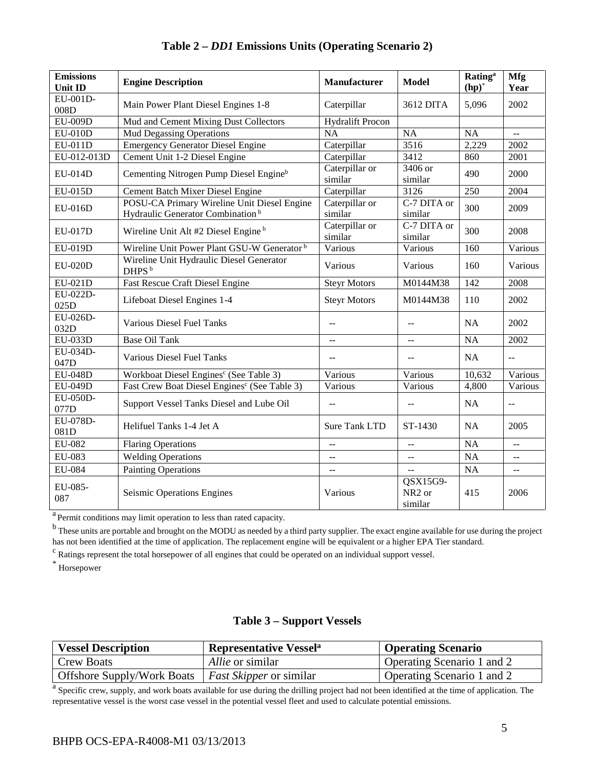| <b>Emissions</b><br>Unit ID | <b>Engine Description</b>                                                                   | Manufacturer              | <b>Model</b>                              | <b>Rating</b> <sup>a</sup><br>$(hp)^*$ | Mfg<br>Year |
|-----------------------------|---------------------------------------------------------------------------------------------|---------------------------|-------------------------------------------|----------------------------------------|-------------|
| EU-001D-<br>008D            | Main Power Plant Diesel Engines 1-8                                                         | Caterpillar               | 3612 DITA                                 | 5,096                                  | 2002        |
| <b>EU-009D</b>              | Mud and Cement Mixing Dust Collectors                                                       | <b>Hydralift Procon</b>   |                                           |                                        |             |
| <b>EU-010D</b>              | <b>Mud Degassing Operations</b>                                                             | <b>NA</b>                 | <b>NA</b>                                 | <b>NA</b>                              | $-$         |
| $EU-011D$                   | <b>Emergency Generator Diesel Engine</b>                                                    | Caterpillar               | 3516                                      | 2,229                                  | 2002        |
| EU-012-013D                 | Cement Unit 1-2 Diesel Engine                                                               | Caterpillar               | 3412                                      | 860                                    | 2001        |
| EU-014D                     | Cementing Nitrogen Pump Diesel Engine <sup>b</sup>                                          | Caterpillar or<br>similar | 3406 or<br>similar                        | 490                                    | 2000        |
| EU-015D                     | Cement Batch Mixer Diesel Engine                                                            | Caterpillar               | $\overline{3}126$                         | 250                                    | 2004        |
| EU-016D                     | POSU-CA Primary Wireline Unit Diesel Engine<br>Hydraulic Generator Combination <sup>b</sup> | Caterpillar or<br>similar | C-7 DITA or<br>similar                    | 300                                    | 2009        |
| EU-017D                     | Wireline Unit Alt #2 Diesel Engine <sup>b</sup>                                             | Caterpillar or<br>similar | C-7 DITA or<br>similar                    | 300                                    | 2008        |
| EU-019D                     | Wireline Unit Power Plant GSU-W Generator <sup>b</sup>                                      | Various                   | Various                                   | 160                                    | Various     |
| $EU-020D$                   | Wireline Unit Hydraulic Diesel Generator<br>DHPS <sup>b</sup>                               | Various                   | Various                                   | 160                                    | Various     |
| EU-021D                     | Fast Rescue Craft Diesel Engine                                                             | <b>Steyr Motors</b>       | M0144M38                                  | 142                                    | 2008        |
| EU-022D-<br>025D            | Lifeboat Diesel Engines 1-4                                                                 | <b>Steyr Motors</b>       | M0144M38                                  | 110                                    | 2002        |
| EU-026D-<br>032D            | <b>Various Diesel Fuel Tanks</b>                                                            | $-$                       | $-$                                       | <b>NA</b>                              | 2002        |
| <b>EU-033D</b>              | <b>Base Oil Tank</b>                                                                        | $\overline{a}$            | $-$                                       | <b>NA</b>                              | 2002        |
| EU-034D-<br>047D            | Various Diesel Fuel Tanks                                                                   | $\overline{a}$            | $\overline{a}$                            | <b>NA</b>                              | $-$         |
| <b>EU-048D</b>              | Workboat Diesel Engines <sup>c</sup> (See Table 3)                                          | Various                   | Various                                   | 10,632                                 | Various     |
| <b>EU-049D</b>              | Fast Crew Boat Diesel Engines <sup>c</sup> (See Table 3)                                    | Various                   | Various                                   | 4,800                                  | Various     |
| EU-050D-<br>077D            | Support Vessel Tanks Diesel and Lube Oil                                                    | $\overline{a}$            | --                                        | NA                                     | $-$         |
| EU-078D-<br>081D            | Helifuel Tanks 1-4 Jet A                                                                    | <b>Sure Tank LTD</b>      | ST-1430                                   | <b>NA</b>                              | 2005        |
| EU-082                      | <b>Flaring Operations</b>                                                                   | $\overline{a}$            | $\overline{a}$                            | <b>NA</b>                              | --          |
| EU-083                      | <b>Welding Operations</b>                                                                   | $\overline{a}$            | ÷-                                        | <b>NA</b>                              | --          |
| EU-084                      | <b>Painting Operations</b>                                                                  |                           | --                                        | <b>NA</b>                              | $-$         |
| EU-085-<br>087              | Seismic Operations Engines                                                                  | Various                   | QSX15G9-<br>NR <sub>2</sub> or<br>similar | 415                                    | 2006        |

**Table 2 –** *DD1* **Emissions Units (Operating Scenario 2)**

<sup>a</sup> Permit conditions may limit operation to less than rated capacity.

<sup>b</sup> These units are portable and brought on the MODU as needed by a third party supplier. The exact engine available for use during the project has not been identified at the time of application. The replacement engine will be equivalent or a higher EPA Tier standard.

<sup>c</sup> Ratings represent the total horsepower of all engines that could be operated on an individual support vessel.

\* Horsepower

## **Table 3 – Support Vessels**

| <b>Vessel Description</b>  | <b>Representative Vessel</b> <sup>a</sup> | <b>Operating Scenario</b>  |
|----------------------------|-------------------------------------------|----------------------------|
| <b>Crew Boats</b>          | <i>Allie</i> or similar                   | Operating Scenario 1 and 2 |
| Offshore Supply/Work Boats | <i>Fast Skipper</i> or similar            | Operating Scenario 1 and 2 |

<sup>a</sup> Specific crew, supply, and work boats available for use during the drilling project had not been identified at the time of application. The representative vessel is the worst case vessel in the potential vessel fleet and used to calculate potential emissions.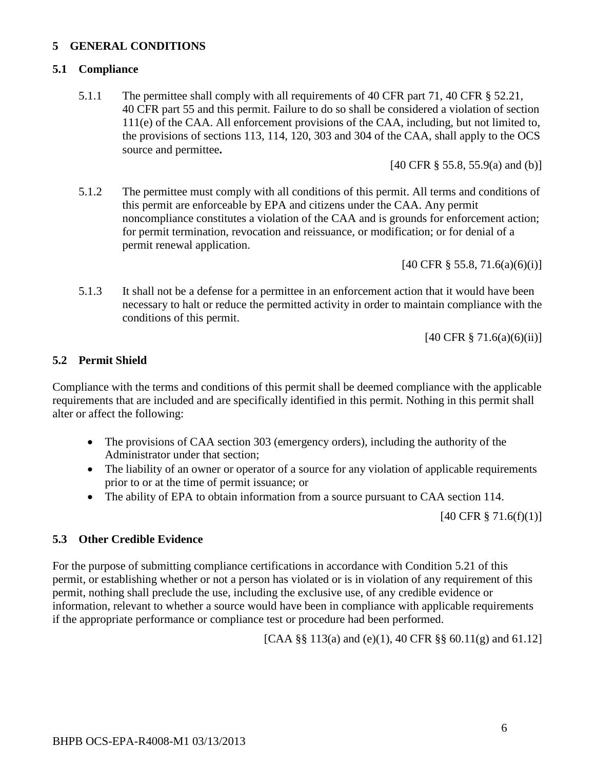## **5 GENERAL CONDITIONS**

#### **5.1 Compliance**

5.1.1 The permittee shall comply with all requirements of 40 CFR part 71, 40 CFR § 52.21, 40 CFR part 55 and this permit. Failure to do so shall be considered a violation of section 111(e) of the CAA. All enforcement provisions of the CAA, including, but not limited to, the provisions of sections 113, 114, 120, 303 and 304 of the CAA, shall apply to the OCS source and permittee**.**

[40 CFR § 55.8, 55.9(a) and (b)]

5.1.2 The permittee must comply with all conditions of this permit. All terms and conditions of this permit are enforceable by EPA and citizens under the CAA. Any permit noncompliance constitutes a violation of the CAA and is grounds for enforcement action; for permit termination, revocation and reissuance, or modification; or for denial of a permit renewal application.

[40 CFR § 55.8, 71.6(a)(6)(i)]

5.1.3 It shall not be a defense for a permittee in an enforcement action that it would have been necessary to halt or reduce the permitted activity in order to maintain compliance with the conditions of this permit.

[40 CFR § 71.6(a)(6)(ii)]

#### **5.2 Permit Shield**

Compliance with the terms and conditions of this permit shall be deemed compliance with the applicable requirements that are included and are specifically identified in this permit. Nothing in this permit shall alter or affect the following:

- The provisions of CAA section 303 (emergency orders), including the authority of the Administrator under that section;
- The liability of an owner or operator of a source for any violation of applicable requirements prior to or at the time of permit issuance; or
- The ability of EPA to obtain information from a source pursuant to CAA section 114.

[40 CFR § 71.6(f)(1)]

#### **5.3 Other Credible Evidence**

For the purpose of submitting compliance certifications in accordance with Condition 5.21 of this permit, or establishing whether or not a person has violated or is in violation of any requirement of this permit, nothing shall preclude the use, including the exclusive use, of any credible evidence or information, relevant to whether a source would have been in compliance with applicable requirements if the appropriate performance or compliance test or procedure had been performed.

[CAA §§ 113(a) and (e)(1), 40 CFR §§ 60.11(g) and 61.12]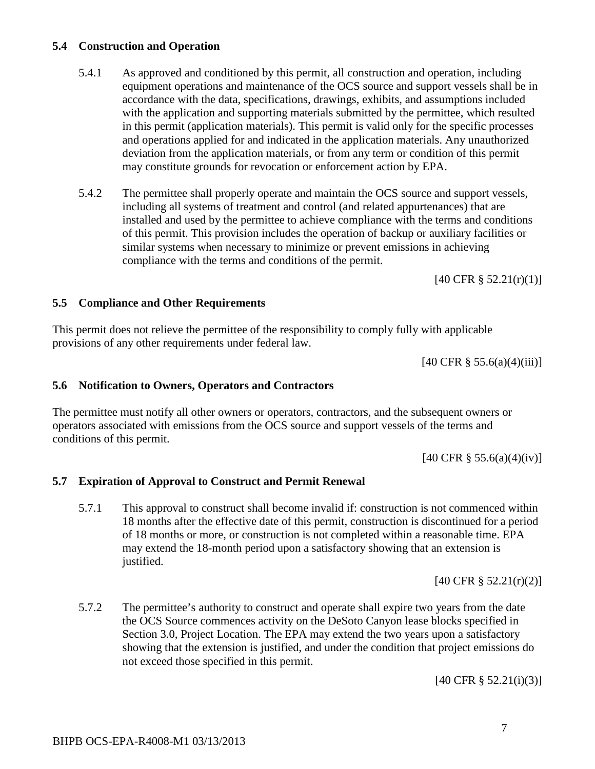#### **5.4 Construction and Operation**

- 5.4.1 As approved and conditioned by this permit, all construction and operation, including equipment operations and maintenance of the OCS source and support vessels shall be in accordance with the data, specifications, drawings, exhibits, and assumptions included with the application and supporting materials submitted by the permittee, which resulted in this permit (application materials). This permit is valid only for the specific processes and operations applied for and indicated in the application materials. Any unauthorized deviation from the application materials, or from any term or condition of this permit may constitute grounds for revocation or enforcement action by EPA.
- 5.4.2 The permittee shall properly operate and maintain the OCS source and support vessels, including all systems of treatment and control (and related appurtenances) that are installed and used by the permittee to achieve compliance with the terms and conditions of this permit. This provision includes the operation of backup or auxiliary facilities or similar systems when necessary to minimize or prevent emissions in achieving compliance with the terms and conditions of the permit.

[40 CFR § 52.21(r)(1)]

#### **5.5 Compliance and Other Requirements**

This permit does not relieve the permittee of the responsibility to comply fully with applicable provisions of any other requirements under federal law.

 $[40 \text{ CFR } \S 55.6(a)(4)(iii)]$ 

#### **5.6 Notification to Owners, Operators and Contractors**

The permittee must notify all other owners or operators, contractors, and the subsequent owners or operators associated with emissions from the OCS source and support vessels of the terms and conditions of this permit.

[40 CFR § 55.6(a)(4)(iv)]

#### **5.7 Expiration of Approval to Construct and Permit Renewal**

5.7.1 This approval to construct shall become invalid if: construction is not commenced within 18 months after the effective date of this permit, construction is discontinued for a period of 18 months or more, or construction is not completed within a reasonable time. EPA may extend the 18-month period upon a satisfactory showing that an extension is justified.

[40 CFR § 52.21(r)(2)]

5.7.2 The permittee's authority to construct and operate shall expire two years from the date the OCS Source commences activity on the DeSoto Canyon lease blocks specified in Section 3.0, Project Location. The EPA may extend the two years upon a satisfactory showing that the extension is justified, and under the condition that project emissions do not exceed those specified in this permit.

[40 CFR § 52.21(i)(3)]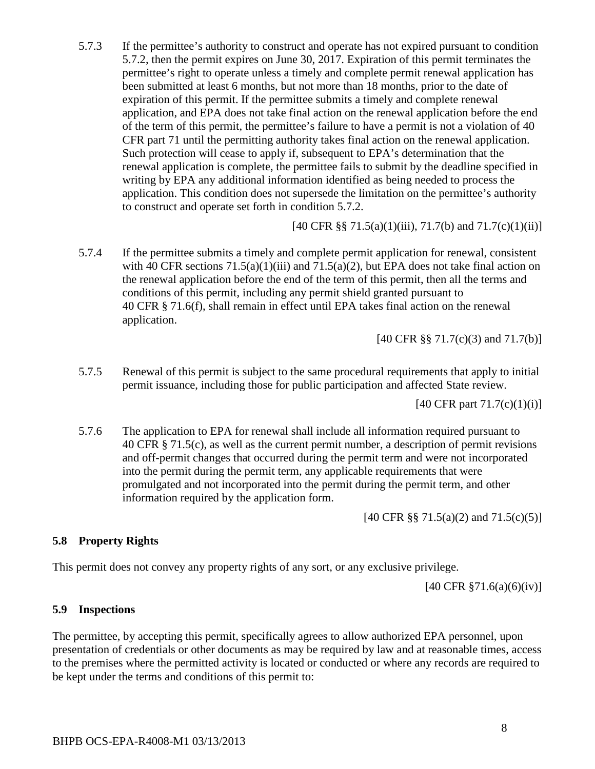5.7.3 If the permittee's authority to construct and operate has not expired pursuant to condition 5.7.2, then the permit expires on June 30, 2017. Expiration of this permit terminates the permittee's right to operate unless a timely and complete permit renewal application has been submitted at least 6 months, but not more than 18 months, prior to the date of expiration of this permit. If the permittee submits a timely and complete renewal application, and EPA does not take final action on the renewal application before the end of the term of this permit, the permittee's failure to have a permit is not a violation of 40 CFR part 71 until the permitting authority takes final action on the renewal application. Such protection will cease to apply if, subsequent to EPA's determination that the renewal application is complete, the permittee fails to submit by the deadline specified in writing by EPA any additional information identified as being needed to process the application. This condition does not supersede the limitation on the permittee's authority to construct and operate set forth in condition 5.7.2.

[40 CFR §§ 71.5(a)(1)(iii), 71.7(b) and  $71.7(c)(1)(ii)$ ]

5.7.4 If the permittee submits a timely and complete permit application for renewal, consistent with 40 CFR sections  $71.5(a)(1)(iii)$  and  $71.5(a)(2)$ , but EPA does not take final action on the renewal application before the end of the term of this permit, then all the terms and conditions of this permit, including any permit shield granted pursuant to 40 CFR § 71.6(f), shall remain in effect until EPA takes final action on the renewal application.

[40 CFR §§ 71.7(c)(3) and 71.7(b)]

5.7.5 Renewal of this permit is subject to the same procedural requirements that apply to initial permit issuance, including those for public participation and affected State review.

[40 CFR part 71.7(c)(1)(i)]

5.7.6 The application to EPA for renewal shall include all information required pursuant to 40 CFR § 71.5(c), as well as the current permit number, a description of permit revisions and off-permit changes that occurred during the permit term and were not incorporated into the permit during the permit term, any applicable requirements that were promulgated and not incorporated into the permit during the permit term, and other information required by the application form.

[40 CFR §§ 71.5(a)(2) and 71.5(c)(5)]

## **5.8 Property Rights**

This permit does not convey any property rights of any sort, or any exclusive privilege.

[40 CFR §71.6(a)(6)(iv)]

#### **5.9 Inspections**

The permittee, by accepting this permit, specifically agrees to allow authorized EPA personnel, upon presentation of credentials or other documents as may be required by law and at reasonable times, access to the premises where the permitted activity is located or conducted or where any records are required to be kept under the terms and conditions of this permit to: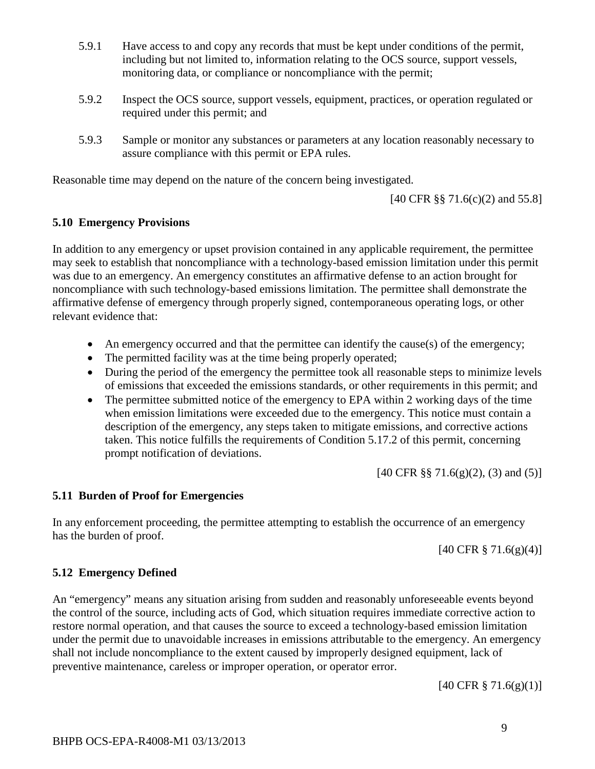- 5.9.1 Have access to and copy any records that must be kept under conditions of the permit, including but not limited to, information relating to the OCS source, support vessels, monitoring data, or compliance or noncompliance with the permit;
- 5.9.2 Inspect the OCS source, support vessels, equipment, practices, or operation regulated or required under this permit; and
- 5.9.3 Sample or monitor any substances or parameters at any location reasonably necessary to assure compliance with this permit or EPA rules.

Reasonable time may depend on the nature of the concern being investigated.

[40 CFR §§ 71.6(c)(2) and 55.8]

#### **5.10 Emergency Provisions**

In addition to any emergency or upset provision contained in any applicable requirement, the permittee may seek to establish that noncompliance with a technology-based emission limitation under this permit was due to an emergency. An emergency constitutes an affirmative defense to an action brought for noncompliance with such technology-based emissions limitation. The permittee shall demonstrate the affirmative defense of emergency through properly signed, contemporaneous operating logs, or other relevant evidence that:

- An emergency occurred and that the permittee can identify the cause(s) of the emergency;
- The permitted facility was at the time being properly operated;
- During the period of the emergency the permittee took all reasonable steps to minimize levels of emissions that exceeded the emissions standards, or other requirements in this permit; and
- The permittee submitted notice of the emergency to EPA within 2 working days of the time when emission limitations were exceeded due to the emergency. This notice must contain a description of the emergency, any steps taken to mitigate emissions, and corrective actions taken. This notice fulfills the requirements of Condition 5.17.2 of this permit, concerning prompt notification of deviations.

[40 CFR §§ 71.6(g)(2), (3) and (5)]

#### **5.11 Burden of Proof for Emergencies**

In any enforcement proceeding, the permittee attempting to establish the occurrence of an emergency has the burden of proof.

 $[40 \text{ CFR } \frac{8}{9} \, 71.6 \, \text{(g)} \, \text{(4)}]$ 

#### **5.12 Emergency Defined**

An "emergency" means any situation arising from sudden and reasonably unforeseeable events beyond the control of the source, including acts of God, which situation requires immediate corrective action to restore normal operation, and that causes the source to exceed a technology-based emission limitation under the permit due to unavoidable increases in emissions attributable to the emergency. An emergency shall not include noncompliance to the extent caused by improperly designed equipment, lack of preventive maintenance, careless or improper operation, or operator error.

[40 CFR § 71.6(g)(1)]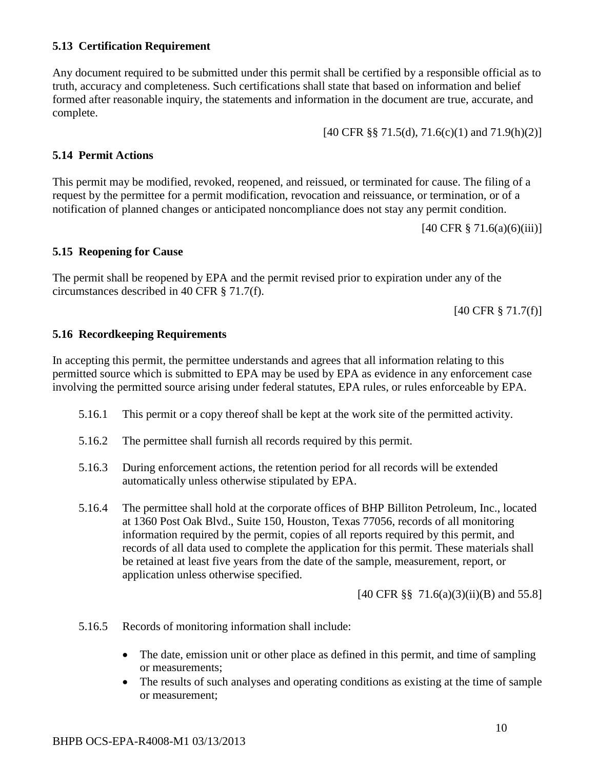#### **5.13 Certification Requirement**

Any document required to be submitted under this permit shall be certified by a responsible official as to truth, accuracy and completeness. Such certifications shall state that based on information and belief formed after reasonable inquiry, the statements and information in the document are true, accurate, and complete.

[40 CFR §§ 71.5(d), 71.6(c)(1) and 71.9(h)(2)]

## **5.14 Permit Actions**

This permit may be modified, revoked, reopened, and reissued, or terminated for cause. The filing of a request by the permittee for a permit modification, revocation and reissuance, or termination, or of a notification of planned changes or anticipated noncompliance does not stay any permit condition.

 $[40 \text{ CFR } \frac{8}{9} \, 71.6(a)(6)(iii)]$ 

#### **5.15 Reopening for Cause**

The permit shall be reopened by EPA and the permit revised prior to expiration under any of the circumstances described in 40 CFR § 71.7(f).

[40 CFR § 71.7(f)]

#### **5.16 Recordkeeping Requirements**

In accepting this permit, the permittee understands and agrees that all information relating to this permitted source which is submitted to EPA may be used by EPA as evidence in any enforcement case involving the permitted source arising under federal statutes, EPA rules, or rules enforceable by EPA.

- 5.16.1 This permit or a copy thereof shall be kept at the work site of the permitted activity.
- 5.16.2 The permittee shall furnish all records required by this permit.
- 5.16.3 During enforcement actions, the retention period for all records will be extended automatically unless otherwise stipulated by EPA.
- 5.16.4 The permittee shall hold at the corporate offices of BHP Billiton Petroleum, Inc., located at 1360 Post Oak Blvd., Suite 150, Houston, Texas 77056, records of all monitoring information required by the permit, copies of all reports required by this permit, and records of all data used to complete the application for this permit. These materials shall be retained at least five years from the date of the sample, measurement, report, or application unless otherwise specified.

[40 CFR §§ 71.6(a)(3)(ii)(B) and 55.8]

- 5.16.5 Records of monitoring information shall include:
	- The date, emission unit or other place as defined in this permit, and time of sampling or measurements;
	- The results of such analyses and operating conditions as existing at the time of sample or measurement;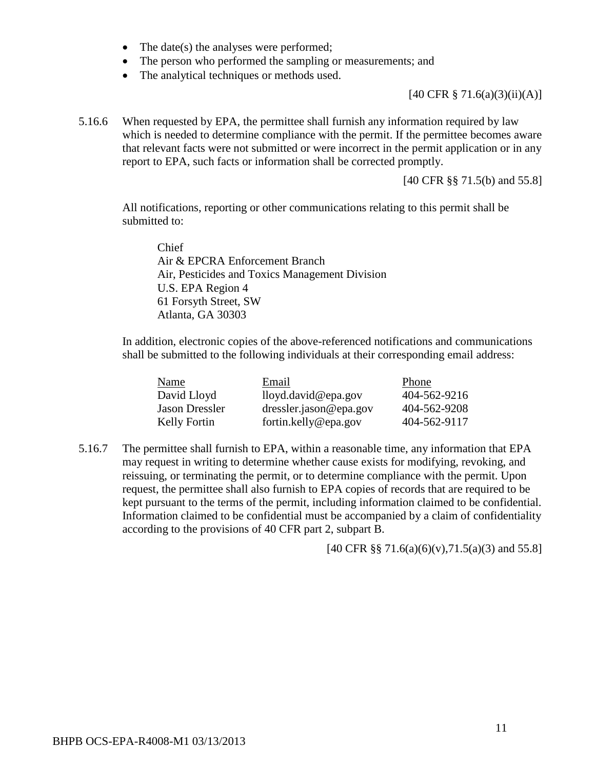- The date(s) the analyses were performed;
- The person who performed the sampling or measurements; and
- The analytical techniques or methods used.

[40 CFR § 71.6(a)(3)(ii)(A)]

5.16.6 When requested by EPA, the permittee shall furnish any information required by law which is needed to determine compliance with the permit. If the permittee becomes aware that relevant facts were not submitted or were incorrect in the permit application or in any report to EPA, such facts or information shall be corrected promptly.

[40 CFR §§ 71.5(b) and 55.8]

All notifications, reporting or other communications relating to this permit shall be submitted to:

Chief Air & EPCRA Enforcement Branch Air, Pesticides and Toxics Management Division U.S. EPA Region 4 61 Forsyth Street, SW Atlanta, GA 30303

In addition, electronic copies of the above-referenced notifications and communications shall be submitted to the following individuals at their corresponding email address:

| Name                  | Email                  | Phone        |
|-----------------------|------------------------|--------------|
| David Lloyd           | lloyd.david@epa.gov    | 404-562-9216 |
| <b>Jason Dressler</b> | dressler.jason@epa.gov | 404-562-9208 |
| Kelly Fortin          | fortin.kelly@epa.gov   | 404-562-9117 |

5.16.7 The permittee shall furnish to EPA, within a reasonable time, any information that EPA may request in writing to determine whether cause exists for modifying, revoking, and reissuing, or terminating the permit, or to determine compliance with the permit. Upon request, the permittee shall also furnish to EPA copies of records that are required to be kept pursuant to the terms of the permit, including information claimed to be confidential. Information claimed to be confidential must be accompanied by a claim of confidentiality according to the provisions of 40 CFR part 2, subpart B.

[40 CFR §§ 71.6(a)(6)(v),71.5(a)(3) and 55.8]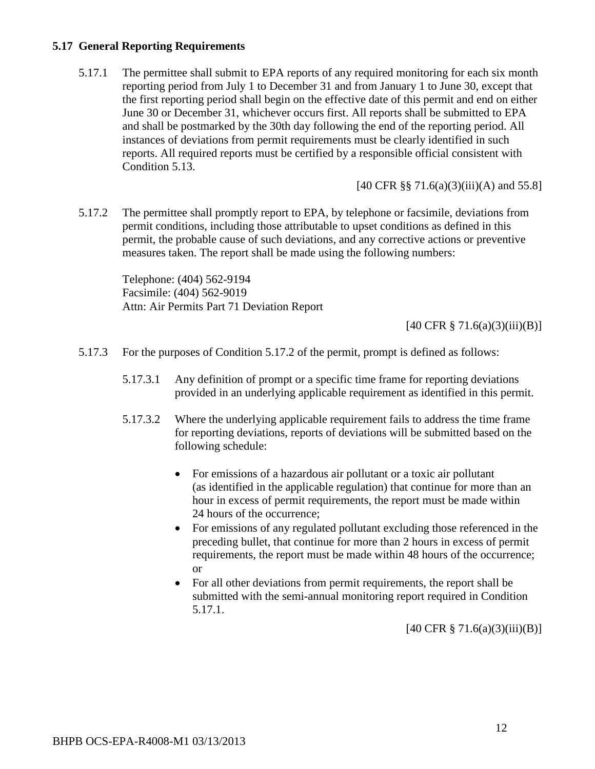#### **5.17 General Reporting Requirements**

5.17.1 The permittee shall submit to EPA reports of any required monitoring for each six month reporting period from July 1 to December 31 and from January 1 to June 30, except that the first reporting period shall begin on the effective date of this permit and end on either June 30 or December 31, whichever occurs first. All reports shall be submitted to EPA and shall be postmarked by the 30th day following the end of the reporting period. All instances of deviations from permit requirements must be clearly identified in such reports. All required reports must be certified by a responsible official consistent with Condition 5.13.

[40 CFR §§ 71.6(a)(3)(iii)(A) and 55.8]

5.17.2 The permittee shall promptly report to EPA, by telephone or facsimile, deviations from permit conditions, including those attributable to upset conditions as defined in this permit, the probable cause of such deviations, and any corrective actions or preventive measures taken. The report shall be made using the following numbers:

Telephone: (404) 562-9194 Facsimile: (404) 562-9019 Attn: Air Permits Part 71 Deviation Report

[40 CFR § 71.6(a)(3)(iii)(B)]

- 5.17.3 For the purposes of Condition 5.17.2 of the permit, prompt is defined as follows:
	- 5.17.3.1 Any definition of prompt or a specific time frame for reporting deviations provided in an underlying applicable requirement as identified in this permit.
	- 5.17.3.2 Where the underlying applicable requirement fails to address the time frame for reporting deviations, reports of deviations will be submitted based on the following schedule:
		- For emissions of a hazardous air pollutant or a toxic air pollutant (as identified in the applicable regulation) that continue for more than an hour in excess of permit requirements, the report must be made within 24 hours of the occurrence;
		- For emissions of any regulated pollutant excluding those referenced in the preceding bullet, that continue for more than 2 hours in excess of permit requirements, the report must be made within 48 hours of the occurrence; or
		- For all other deviations from permit requirements, the report shall be submitted with the semi-annual monitoring report required in Condition 5.17.1.

 $[40 \text{ CFR } \S$  71.6(a)(3)(iii)(B)]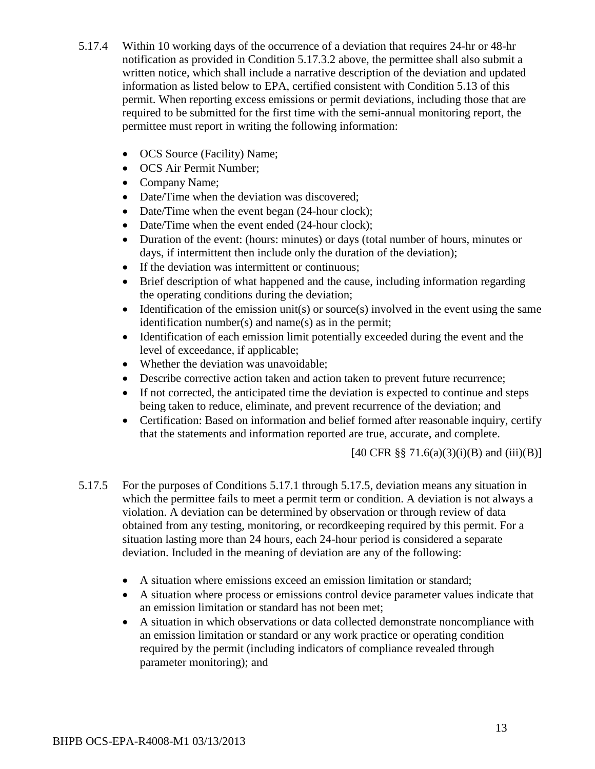- 5.17.4 Within 10 working days of the occurrence of a deviation that requires 24-hr or 48-hr notification as provided in Condition 5.17.3.2 above, the permittee shall also submit a written notice, which shall include a narrative description of the deviation and updated information as listed below to EPA, certified consistent with Condition 5.13 of this permit. When reporting excess emissions or permit deviations, including those that are required to be submitted for the first time with the semi-annual monitoring report, the permittee must report in writing the following information:
	- OCS Source (Facility) Name;
	- OCS Air Permit Number;
	- Company Name;
	- Date/Time when the deviation was discovered;
	- Date/Time when the event began (24-hour clock);
	- Date/Time when the event ended (24-hour clock);
	- Duration of the event: (hours: minutes) or days (total number of hours, minutes or days, if intermittent then include only the duration of the deviation);
	- If the deviation was intermittent or continuous;
	- Brief description of what happened and the cause, including information regarding the operating conditions during the deviation;
	- Identification of the emission unit(s) or source(s) involved in the event using the same identification number(s) and name(s) as in the permit;
	- Identification of each emission limit potentially exceeded during the event and the level of exceedance, if applicable;
	- Whether the deviation was unavoidable;
	- Describe corrective action taken and action taken to prevent future recurrence;
	- If not corrected, the anticipated time the deviation is expected to continue and steps being taken to reduce, eliminate, and prevent recurrence of the deviation; and
	- Certification: Based on information and belief formed after reasonable inquiry, certify that the statements and information reported are true, accurate, and complete.

 $[40 \text{ CFR } \S \S 71.6(a)(3)(i)(B) \text{ and } (iii)(B)]$ 

- 5.17.5 For the purposes of Conditions 5.17.1 through 5.17.5, deviation means any situation in which the permittee fails to meet a permit term or condition. A deviation is not always a violation. A deviation can be determined by observation or through review of data obtained from any testing, monitoring, or recordkeeping required by this permit. For a situation lasting more than 24 hours, each 24-hour period is considered a separate deviation. Included in the meaning of deviation are any of the following:
	- A situation where emissions exceed an emission limitation or standard;
	- A situation where process or emissions control device parameter values indicate that an emission limitation or standard has not been met;
	- A situation in which observations or data collected demonstrate noncompliance with an emission limitation or standard or any work practice or operating condition required by the permit (including indicators of compliance revealed through parameter monitoring); and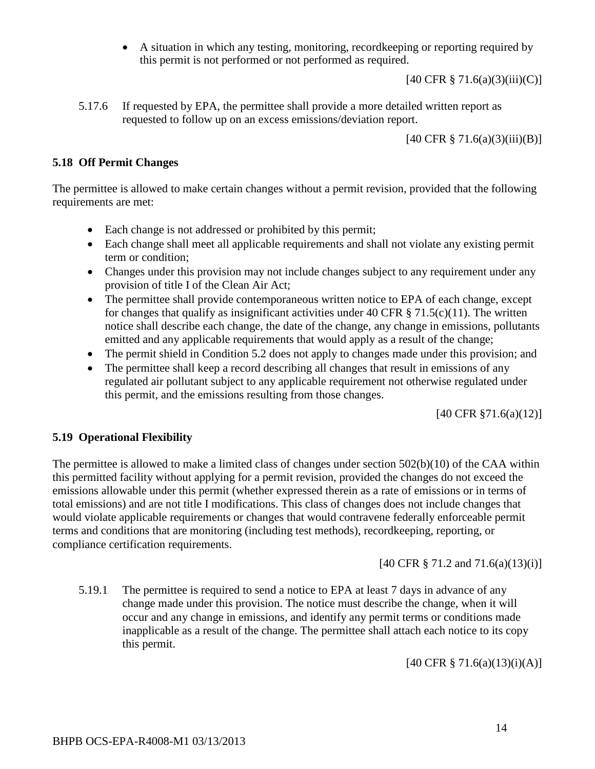• A situation in which any testing, monitoring, recordkeeping or reporting required by this permit is not performed or not performed as required.

 $[40 \text{ CFR } \frac{8}{3} \, 71.6(a)(3)(iii)(C)]$ 

5.17.6 If requested by EPA, the permittee shall provide a more detailed written report as requested to follow up on an excess emissions/deviation report.

 $[40 \text{ CFR } \frac{8}{9} \, 71.6(a)(3)(iii)(B)]$ 

### **5.18 Off Permit Changes**

The permittee is allowed to make certain changes without a permit revision, provided that the following requirements are met:

- Each change is not addressed or prohibited by this permit;
- Each change shall meet all applicable requirements and shall not violate any existing permit term or condition;
- Changes under this provision may not include changes subject to any requirement under any provision of title I of the Clean Air Act;
- The permittee shall provide contemporaneous written notice to EPA of each change, except for changes that qualify as insignificant activities under 40 CFR  $\S$  71.5(c)(11). The written notice shall describe each change, the date of the change, any change in emissions, pollutants emitted and any applicable requirements that would apply as a result of the change;
- The permit shield in Condition 5.2 does not apply to changes made under this provision; and
- The permittee shall keep a record describing all changes that result in emissions of any regulated air pollutant subject to any applicable requirement not otherwise regulated under this permit, and the emissions resulting from those changes.

[40 CFR §71.6(a)(12)]

## **5.19 Operational Flexibility**

The permittee is allowed to make a limited class of changes under section 502(b)(10) of the CAA within this permitted facility without applying for a permit revision, provided the changes do not exceed the emissions allowable under this permit (whether expressed therein as a rate of emissions or in terms of total emissions) and are not title I modifications. This class of changes does not include changes that would violate applicable requirements or changes that would contravene federally enforceable permit terms and conditions that are monitoring (including test methods), recordkeeping, reporting, or compliance certification requirements.

[40 CFR § 71.2 and 71.6(a)(13)(i)]

5.19.1 The permittee is required to send a notice to EPA at least 7 days in advance of any change made under this provision. The notice must describe the change, when it will occur and any change in emissions, and identify any permit terms or conditions made inapplicable as a result of the change. The permittee shall attach each notice to its copy this permit.

[40 CFR § 71.6(a)(13)(i)(A)]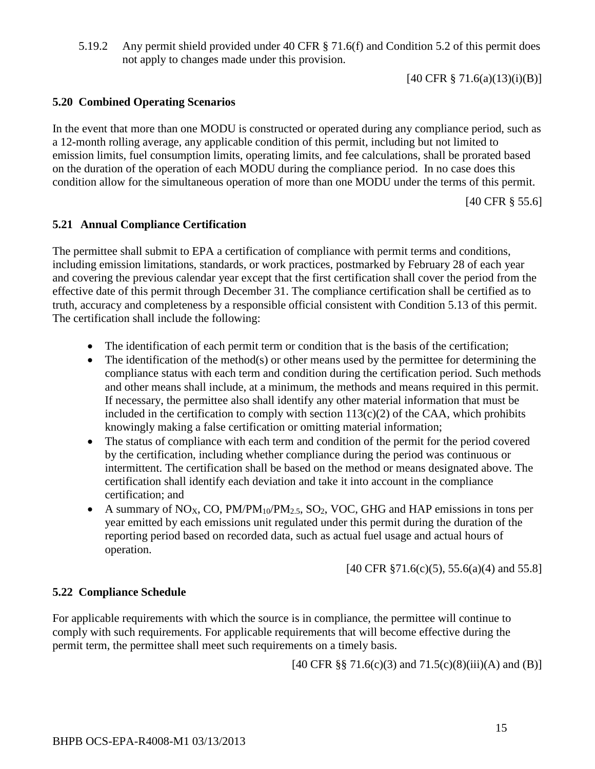5.19.2 Any permit shield provided under 40 CFR § 71.6(f) and Condition 5.2 of this permit does not apply to changes made under this provision.

[40 CFR § 71.6(a)(13)(i)(B)]

## **5.20 Combined Operating Scenarios**

In the event that more than one MODU is constructed or operated during any compliance period, such as a 12-month rolling average, any applicable condition of this permit, including but not limited to emission limits, fuel consumption limits, operating limits, and fee calculations, shall be prorated based on the duration of the operation of each MODU during the compliance period. In no case does this condition allow for the simultaneous operation of more than one MODU under the terms of this permit.

[40 CFR § 55.6]

## **5.21 Annual Compliance Certification**

The permittee shall submit to EPA a certification of compliance with permit terms and conditions, including emission limitations, standards, or work practices, postmarked by February 28 of each year and covering the previous calendar year except that the first certification shall cover the period from the effective date of this permit through December 31. The compliance certification shall be certified as to truth, accuracy and completeness by a responsible official consistent with Condition 5.13 of this permit. The certification shall include the following:

- The identification of each permit term or condition that is the basis of the certification;
- The identification of the method(s) or other means used by the permittee for determining the compliance status with each term and condition during the certification period. Such methods and other means shall include, at a minimum, the methods and means required in this permit. If necessary, the permittee also shall identify any other material information that must be included in the certification to comply with section  $113(c)(2)$  of the CAA, which prohibits knowingly making a false certification or omitting material information;
- The status of compliance with each term and condition of the permit for the period covered by the certification, including whether compliance during the period was continuous or intermittent. The certification shall be based on the method or means designated above. The certification shall identify each deviation and take it into account in the compliance certification; and
- A summary of NO<sub>X</sub>, CO, PM/PM<sub>10</sub>/PM<sub>2.5</sub>, SO<sub>2</sub>, VOC, GHG and HAP emissions in tons per year emitted by each emissions unit regulated under this permit during the duration of the reporting period based on recorded data, such as actual fuel usage and actual hours of operation.

[40 CFR §71.6(c)(5), 55.6(a)(4) and 55.8]

#### **5.22 Compliance Schedule**

For applicable requirements with which the source is in compliance, the permittee will continue to comply with such requirements. For applicable requirements that will become effective during the permit term, the permittee shall meet such requirements on a timely basis.

[40 CFR §§ 71.6(c)(3) and  $71.5(c)(8)(iii)(A)$  and (B)]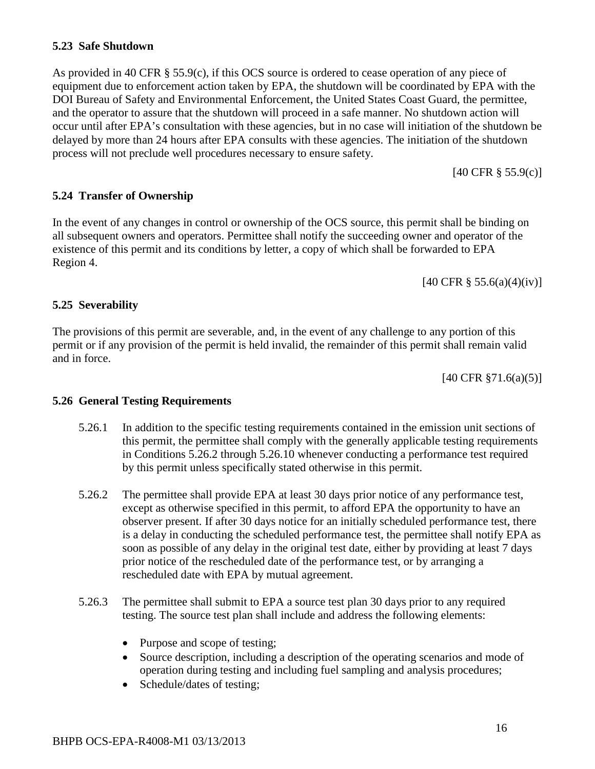#### **5.23 Safe Shutdown**

As provided in 40 CFR § 55.9(c), if this OCS source is ordered to cease operation of any piece of equipment due to enforcement action taken by EPA, the shutdown will be coordinated by EPA with the DOI Bureau of Safety and Environmental Enforcement, the United States Coast Guard, the permittee, and the operator to assure that the shutdown will proceed in a safe manner. No shutdown action will occur until after EPA's consultation with these agencies, but in no case will initiation of the shutdown be delayed by more than 24 hours after EPA consults with these agencies. The initiation of the shutdown process will not preclude well procedures necessary to ensure safety.

[40 CFR § 55.9(c)]

#### **5.24 Transfer of Ownership**

In the event of any changes in control or ownership of the OCS source, this permit shall be binding on all subsequent owners and operators. Permittee shall notify the succeeding owner and operator of the existence of this permit and its conditions by letter, a copy of which shall be forwarded to EPA Region 4.

 $[40 \text{ CFR } \S 55.6(a)(4)(iv)]$ 

#### **5.25 Severability**

The provisions of this permit are severable, and, in the event of any challenge to any portion of this permit or if any provision of the permit is held invalid, the remainder of this permit shall remain valid and in force.

[40 CFR §71.6(a)(5)]

#### **5.26 General Testing Requirements**

- 5.26.1 In addition to the specific testing requirements contained in the emission unit sections of this permit, the permittee shall comply with the generally applicable testing requirements in Conditions 5.26.2 through 5.26.10 whenever conducting a performance test required by this permit unless specifically stated otherwise in this permit.
- 5.26.2 The permittee shall provide EPA at least 30 days prior notice of any performance test, except as otherwise specified in this permit, to afford EPA the opportunity to have an observer present. If after 30 days notice for an initially scheduled performance test, there is a delay in conducting the scheduled performance test, the permittee shall notify EPA as soon as possible of any delay in the original test date, either by providing at least 7 days prior notice of the rescheduled date of the performance test, or by arranging a rescheduled date with EPA by mutual agreement.
- 5.26.3 The permittee shall submit to EPA a source test plan 30 days prior to any required testing. The source test plan shall include and address the following elements:
	- Purpose and scope of testing;
	- Source description, including a description of the operating scenarios and mode of operation during testing and including fuel sampling and analysis procedures;
	- Schedule/dates of testing;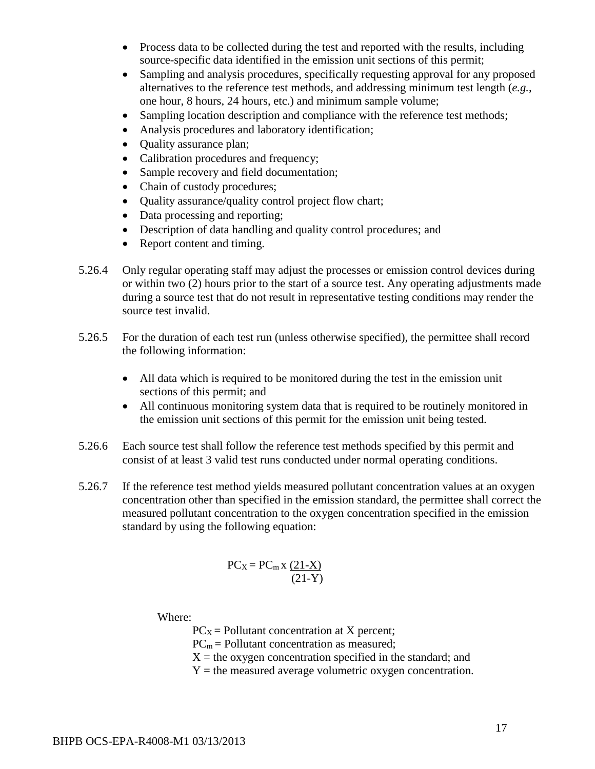- Process data to be collected during the test and reported with the results, including source-specific data identified in the emission unit sections of this permit;
- Sampling and analysis procedures, specifically requesting approval for any proposed alternatives to the reference test methods, and addressing minimum test length (*e.g.*, one hour, 8 hours, 24 hours, etc.) and minimum sample volume;
- Sampling location description and compliance with the reference test methods;
- Analysis procedures and laboratory identification;
- Quality assurance plan;
- Calibration procedures and frequency;
- Sample recovery and field documentation;
- Chain of custody procedures;
- Quality assurance/quality control project flow chart;
- Data processing and reporting;
- Description of data handling and quality control procedures; and
- Report content and timing.
- 5.26.4 Only regular operating staff may adjust the processes or emission control devices during or within two (2) hours prior to the start of a source test. Any operating adjustments made during a source test that do not result in representative testing conditions may render the source test invalid.
- 5.26.5 For the duration of each test run (unless otherwise specified), the permittee shall record the following information:
	- All data which is required to be monitored during the test in the emission unit sections of this permit; and
	- All continuous monitoring system data that is required to be routinely monitored in the emission unit sections of this permit for the emission unit being tested.
- 5.26.6 Each source test shall follow the reference test methods specified by this permit and consist of at least 3 valid test runs conducted under normal operating conditions.
- 5.26.7 If the reference test method yields measured pollutant concentration values at an oxygen concentration other than specified in the emission standard, the permittee shall correct the measured pollutant concentration to the oxygen concentration specified in the emission standard by using the following equation:

$$
PC_X = PC_m \times \frac{(21-X)}{(21-Y)}
$$

Where:

 $PC<sub>X</sub>$  = Pollutant concentration at X percent;

 $PC<sub>m</sub>$  = Pollutant concentration as measured;

 $X =$  the oxygen concentration specified in the standard; and

 $Y =$  the measured average volumetric oxygen concentration.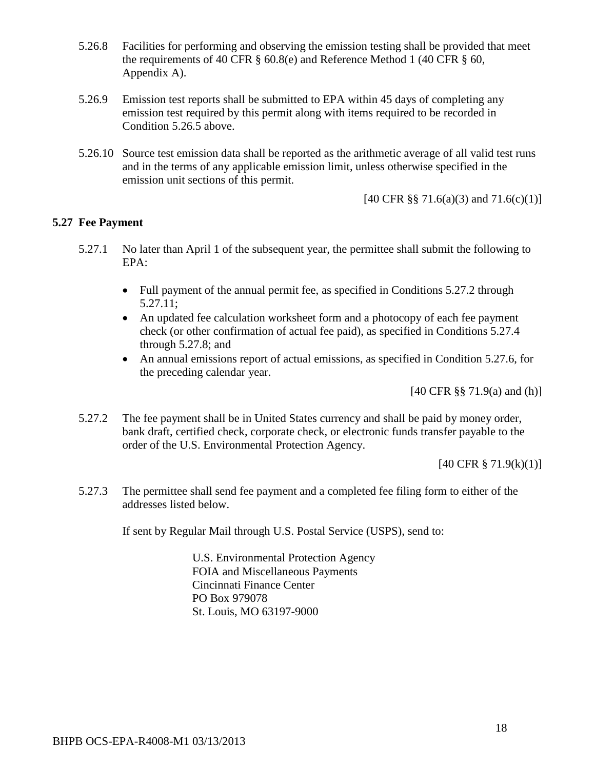- 5.26.8 Facilities for performing and observing the emission testing shall be provided that meet the requirements of 40 CFR § 60.8(e) and Reference Method 1 (40 CFR § 60, Appendix A).
- 5.26.9 Emission test reports shall be submitted to EPA within 45 days of completing any emission test required by this permit along with items required to be recorded in Condition 5.26.5 above.
- 5.26.10 Source test emission data shall be reported as the arithmetic average of all valid test runs and in the terms of any applicable emission limit, unless otherwise specified in the emission unit sections of this permit.

[40 CFR §§ 71.6(a)(3) and 71.6(c)(1)]

#### **5.27 Fee Payment**

- 5.27.1 No later than April 1 of the subsequent year, the permittee shall submit the following to EPA:
	- Full payment of the annual permit fee, as specified in Conditions 5.27.2 through 5.27.11;
	- An updated fee calculation worksheet form and a photocopy of each fee payment check (or other confirmation of actual fee paid), as specified in Conditions 5.27.4 through 5.27.8; and
	- An annual emissions report of actual emissions, as specified in Condition 5.27.6, for the preceding calendar year.

[40 CFR §§ 71.9(a) and (h)]

5.27.2 The fee payment shall be in United States currency and shall be paid by money order, bank draft, certified check, corporate check, or electronic funds transfer payable to the order of the U.S. Environmental Protection Agency.

 $[40 \text{ CFR } \frac{8}{9} \, 71.9 \times (k)(1)]$ 

5.27.3 The permittee shall send fee payment and a completed fee filing form to either of the addresses listed below.

If sent by Regular Mail through U.S. Postal Service (USPS), send to:

U.S. Environmental Protection Agency FOIA and Miscellaneous Payments Cincinnati Finance Center PO Box 979078 St. Louis, MO 63197-9000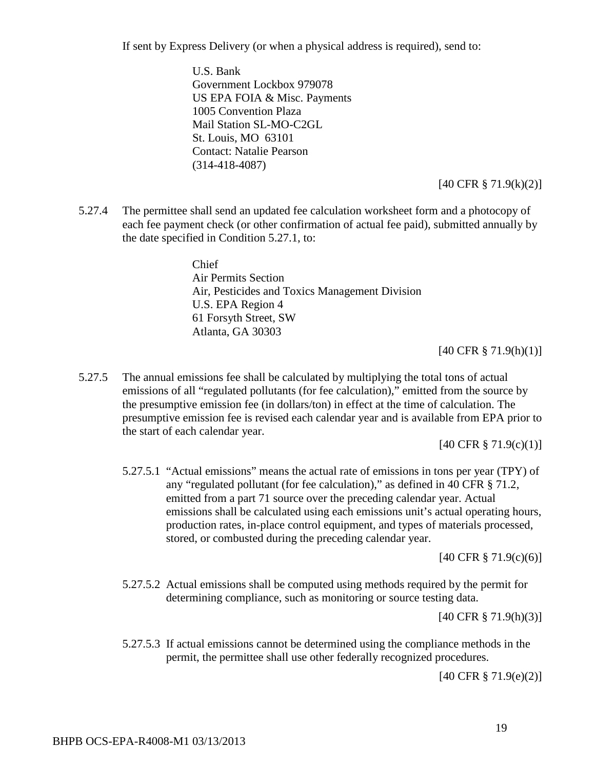If sent by Express Delivery (or when a physical address is required), send to:

U.S. Bank Government Lockbox 979078 US EPA FOIA & Misc. Payments 1005 Convention Plaza Mail Station SL-MO-C2GL St. Louis, MO 63101 Contact: Natalie Pearson (314-418-4087)

[40 CFR § 71.9(k)(2)]

5.27.4 The permittee shall send an updated fee calculation worksheet form and a photocopy of each fee payment check (or other confirmation of actual fee paid), submitted annually by the date specified in Condition 5.27.1, to:

> Chief Air Permits Section Air, Pesticides and Toxics Management Division U.S. EPA Region 4 61 Forsyth Street, SW Atlanta, GA 30303

> > [40 CFR § 71.9(h)(1)]

5.27.5 The annual emissions fee shall be calculated by multiplying the total tons of actual emissions of all "regulated pollutants (for fee calculation)," emitted from the source by the presumptive emission fee (in dollars/ton) in effect at the time of calculation. The presumptive emission fee is revised each calendar year and is available from EPA prior to the start of each calendar year.

[40 CFR § 71.9(c)(1)]

5.27.5.1 "Actual emissions" means the actual rate of emissions in tons per year (TPY) of any "regulated pollutant (for fee calculation)," as defined in 40 CFR § 71.2, emitted from a part 71 source over the preceding calendar year. Actual emissions shall be calculated using each emissions unit's actual operating hours, production rates, in-place control equipment, and types of materials processed, stored, or combusted during the preceding calendar year.

[40 CFR § 71.9(c)(6)]

5.27.5.2 Actual emissions shall be computed using methods required by the permit for determining compliance, such as monitoring or source testing data.

[40 CFR § 71.9(h)(3)]

5.27.5.3 If actual emissions cannot be determined using the compliance methods in the permit, the permittee shall use other federally recognized procedures.

[40 CFR § 71.9(e)(2)]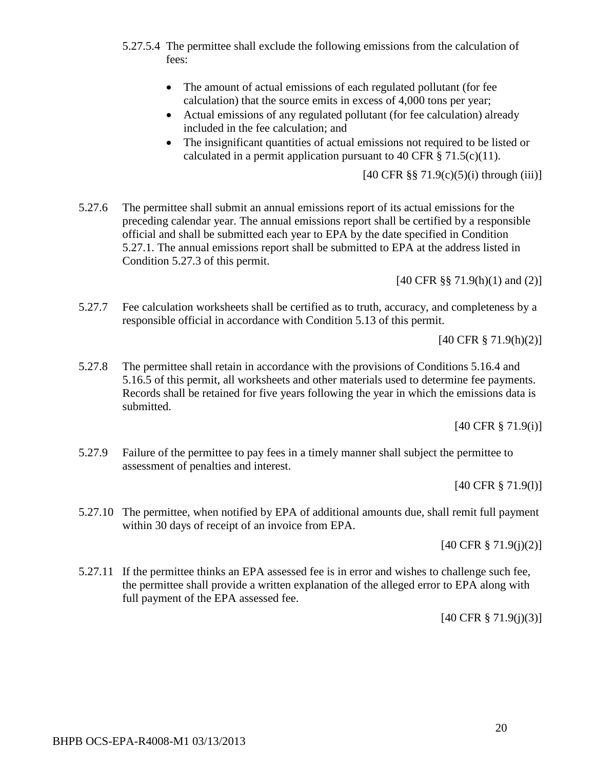- 5.27.5.4 The permittee shall exclude the following emissions from the calculation of fees:
	- The amount of actual emissions of each regulated pollutant (for fee calculation) that the source emits in excess of 4,000 tons per year;
	- Actual emissions of any regulated pollutant (for fee calculation) already included in the fee calculation; and
	- The insignificant quantities of actual emissions not required to be listed or calculated in a permit application pursuant to 40 CFR  $\S$  71.5(c)(11).

 $[40 \text{ CFR } \frac{88}{3} \cdot 71.9(c)(5)(i)$  through (iii)]

5.27.6 The permittee shall submit an annual emissions report of its actual emissions for the preceding calendar year. The annual emissions report shall be certified by a responsible official and shall be submitted each year to EPA by the date specified in Condition 5.27.1. The annual emissions report shall be submitted to EPA at the address listed in Condition 5.27.3 of this permit.

[40 CFR §§ 71.9(h)(1) and (2)]

5.27.7 Fee calculation worksheets shall be certified as to truth, accuracy, and completeness by a responsible official in accordance with Condition 5.13 of this permit.

[40 CFR § 71.9(h)(2)]

5.27.8 The permittee shall retain in accordance with the provisions of Conditions 5.16.4 and 5.16.5 of this permit, all worksheets and other materials used to determine fee payments. Records shall be retained for five years following the year in which the emissions data is submitted.

[40 CFR § 71.9(i)]

5.27.9 Failure of the permittee to pay fees in a timely manner shall subject the permittee to assessment of penalties and interest.

[40 CFR § 71.9(l)]

5.27.10 The permittee, when notified by EPA of additional amounts due, shall remit full payment within 30 days of receipt of an invoice from EPA.

[40 CFR § 71.9(j)(2)]

5.27.11 If the permittee thinks an EPA assessed fee is in error and wishes to challenge such fee, the permittee shall provide a written explanation of the alleged error to EPA along with full payment of the EPA assessed fee.

[40 CFR § 71.9(j)(3)]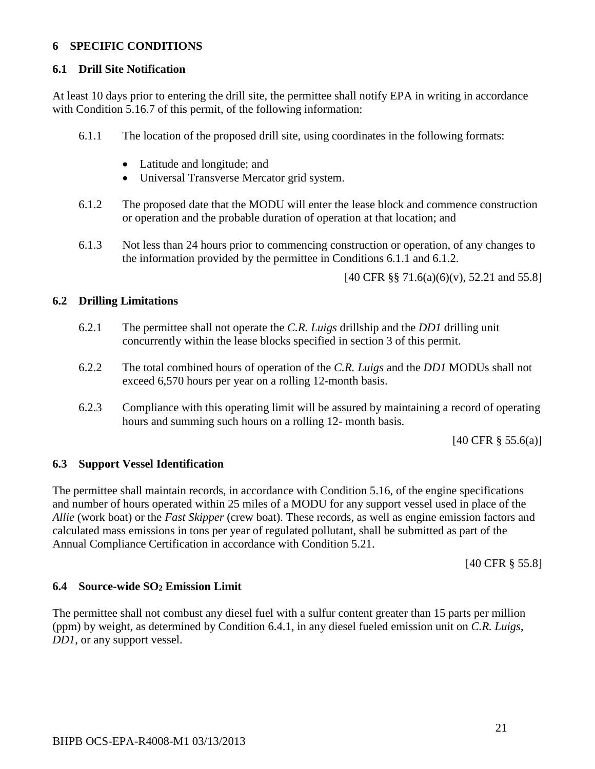### **6 SPECIFIC CONDITIONS**

#### **6.1 Drill Site Notification**

At least 10 days prior to entering the drill site, the permittee shall notify EPA in writing in accordance with Condition 5.16.7 of this permit, of the following information:

- 6.1.1 The location of the proposed drill site, using coordinates in the following formats:
	- Latitude and longitude; and
	- Universal Transverse Mercator grid system.
- 6.1.2 The proposed date that the MODU will enter the lease block and commence construction or operation and the probable duration of operation at that location; and
- 6.1.3 Not less than 24 hours prior to commencing construction or operation, of any changes to the information provided by the permittee in Conditions 6.1.1 and 6.1.2.

[40 CFR §§ 71.6(a)(6)(v), 52.21 and 55.8]

#### **6.2 Drilling Limitations**

- 6.2.1 The permittee shall not operate the *C.R. Luigs* drillship and the *DD1* drilling unit concurrently within the lease blocks specified in section 3 of this permit.
- 6.2.2 The total combined hours of operation of the *C.R. Luigs* and the *DD1* MODUs shall not exceed 6,570 hours per year on a rolling 12-month basis.
- 6.2.3 Compliance with this operating limit will be assured by maintaining a record of operating hours and summing such hours on a rolling 12- month basis.

[40 CFR § 55.6(a)]

#### **6.3 Support Vessel Identification**

The permittee shall maintain records, in accordance with Condition 5.16, of the engine specifications and number of hours operated within 25 miles of a MODU for any support vessel used in place of the *Allie* (work boat) or the *Fast Skipper* (crew boat). These records, as well as engine emission factors and calculated mass emissions in tons per year of regulated pollutant, shall be submitted as part of the Annual Compliance Certification in accordance with Condition 5.21.

[40 CFR § 55.8]

#### **6.4 Source-wide SO2 Emission Limit**

The permittee shall not combust any diesel fuel with a sulfur content greater than 15 parts per million (ppm) by weight, as determined by Condition 6.4.1, in any diesel fueled emission unit on *C.R. Luigs*, *DD1*, or any support vessel.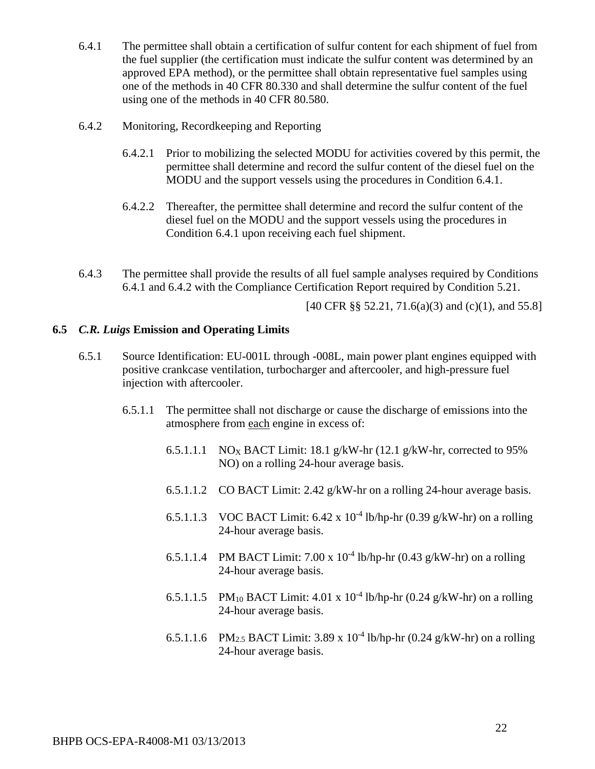- 6.4.1 The permittee shall obtain a certification of sulfur content for each shipment of fuel from the fuel supplier (the certification must indicate the sulfur content was determined by an approved EPA method), or the permittee shall obtain representative fuel samples using one of the methods in 40 CFR 80.330 and shall determine the sulfur content of the fuel using one of the methods in 40 CFR 80.580.
- 6.4.2 Monitoring, Recordkeeping and Reporting
	- 6.4.2.1 Prior to mobilizing the selected MODU for activities covered by this permit, the permittee shall determine and record the sulfur content of the diesel fuel on the MODU and the support vessels using the procedures in Condition 6.4.1.
	- 6.4.2.2 Thereafter, the permittee shall determine and record the sulfur content of the diesel fuel on the MODU and the support vessels using the procedures in Condition 6.4.1 upon receiving each fuel shipment.
- 6.4.3 The permittee shall provide the results of all fuel sample analyses required by Conditions 6.4.1 and 6.4.2 with the Compliance Certification Report required by Condition 5.21.

[40 CFR §§ 52.21, 71.6(a)(3) and (c)(1), and 55.8]

#### **6.5** *C.R. Luigs* **Emission and Operating Limits**

- 6.5.1 Source Identification: EU-001L through -008L, main power plant engines equipped with positive crankcase ventilation, turbocharger and aftercooler, and high-pressure fuel injection with aftercooler.
	- 6.5.1.1 The permittee shall not discharge or cause the discharge of emissions into the atmosphere from each engine in excess of:
		- 6.5.1.1.1 NO<sub>X</sub> BACT Limit: 18.1 g/kW-hr (12.1 g/kW-hr, corrected to 95%) NO) on a rolling 24-hour average basis.
		- 6.5.1.1.2 CO BACT Limit: 2.42 g/kW-hr on a rolling 24-hour average basis.
		- 6.5.1.1.3 VOC BACT Limit: 6.42 x  $10^{-4}$  lb/hp-hr (0.39 g/kW-hr) on a rolling 24-hour average basis.
		- 6.5.1.1.4 PM BACT Limit: 7.00 x  $10^{-4}$  lb/hp-hr (0.43 g/kW-hr) on a rolling 24-hour average basis.
		- 6.5.1.1.5 PM<sub>10</sub> BACT Limit: 4.01 x 10<sup>-4</sup> lb/hp-hr (0.24 g/kW-hr) on a rolling 24-hour average basis.
		- 6.5.1.1.6 PM<sub>2.5</sub> BACT Limit: 3.89 x 10<sup>-4</sup> lb/hp-hr (0.24 g/kW-hr) on a rolling 24-hour average basis.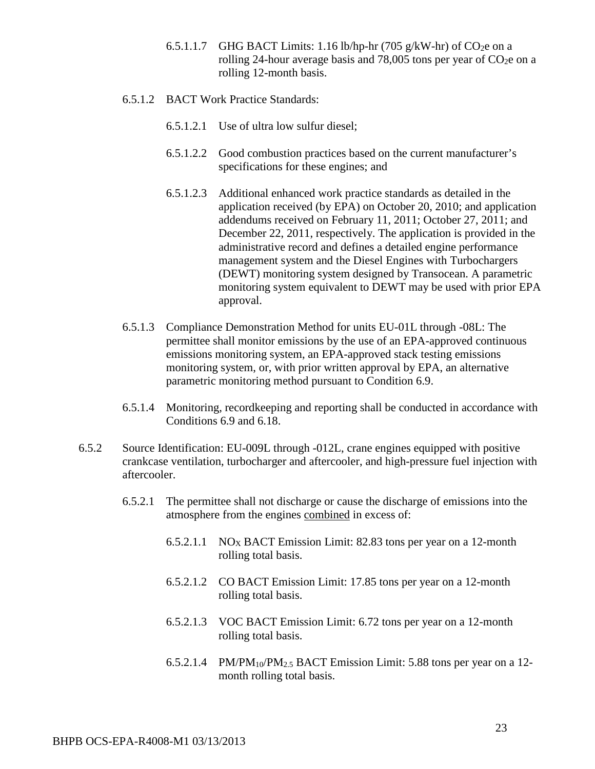- 6.5.1.1.7 GHG BACT Limits: 1.16 lb/hp-hr (705 g/kW-hr) of  $CO<sub>2</sub>e$  on a rolling 24-hour average basis and 78,005 tons per year of  $CO<sub>2</sub>e$  on a rolling 12-month basis.
- 6.5.1.2 BACT Work Practice Standards:
	- 6.5.1.2.1 Use of ultra low sulfur diesel;
	- 6.5.1.2.2 Good combustion practices based on the current manufacturer's specifications for these engines; and
	- 6.5.1.2.3 Additional enhanced work practice standards as detailed in the application received (by EPA) on October 20, 2010; and application addendums received on February 11, 2011; October 27, 2011; and December 22, 2011, respectively. The application is provided in the administrative record and defines a detailed engine performance management system and the Diesel Engines with Turbochargers (DEWT) monitoring system designed by Transocean. A parametric monitoring system equivalent to DEWT may be used with prior EPA approval.
- 6.5.1.3 Compliance Demonstration Method for units EU-01L through -08L: The permittee shall monitor emissions by the use of an EPA-approved continuous emissions monitoring system, an EPA-approved stack testing emissions monitoring system, or, with prior written approval by EPA, an alternative parametric monitoring method pursuant to Condition 6.9.
- 6.5.1.4 Monitoring, recordkeeping and reporting shall be conducted in accordance with Conditions 6.9 and 6.18.
- 6.5.2 Source Identification: EU-009L through -012L, crane engines equipped with positive crankcase ventilation, turbocharger and aftercooler, and high-pressure fuel injection with aftercooler.
	- 6.5.2.1 The permittee shall not discharge or cause the discharge of emissions into the atmosphere from the engines combined in excess of:
		- 6.5.2.1.1 NO<sub>X</sub> BACT Emission Limit: 82.83 tons per year on a 12-month rolling total basis.
		- 6.5.2.1.2 CO BACT Emission Limit: 17.85 tons per year on a 12-month rolling total basis.
		- 6.5.2.1.3 VOC BACT Emission Limit: 6.72 tons per year on a 12-month rolling total basis.
		- 6.5.2.1.4 PM/PM<sub>10</sub>/PM<sub>2.5</sub> BACT Emission Limit: 5.88 tons per year on a 12month rolling total basis.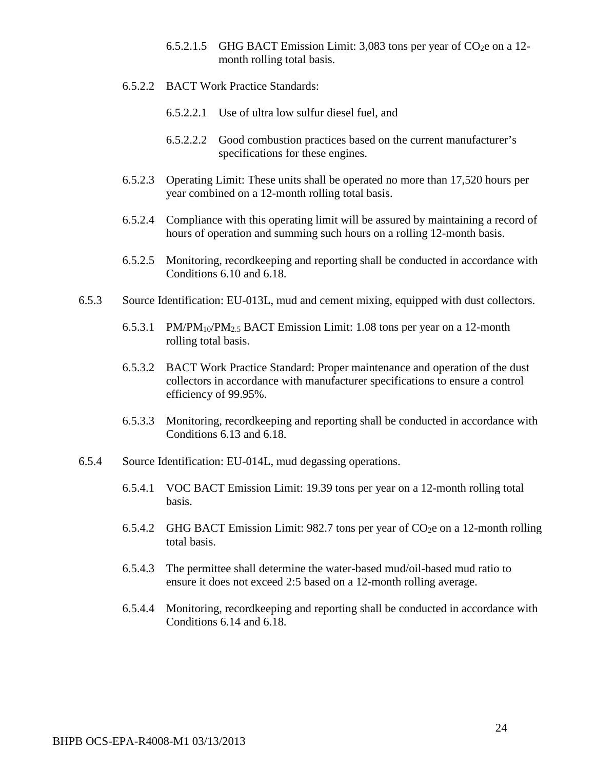- 6.5.2.1.5 GHG BACT Emission Limit: 3,083 tons per year of  $CO<sub>2</sub>e$  on a 12month rolling total basis.
- 6.5.2.2 BACT Work Practice Standards:
	- 6.5.2.2.1 Use of ultra low sulfur diesel fuel, and
	- 6.5.2.2.2 Good combustion practices based on the current manufacturer's specifications for these engines.
- 6.5.2.3 Operating Limit: These units shall be operated no more than 17,520 hours per year combined on a 12-month rolling total basis.
- 6.5.2.4 Compliance with this operating limit will be assured by maintaining a record of hours of operation and summing such hours on a rolling 12-month basis.
- 6.5.2.5 Monitoring, recordkeeping and reporting shall be conducted in accordance with Conditions 6.10 and 6.18.
- 6.5.3 Source Identification: EU-013L, mud and cement mixing, equipped with dust collectors.
	- 6.5.3.1 PM/PM<sub>10</sub>/PM<sub>2.5</sub> BACT Emission Limit: 1.08 tons per year on a 12-month rolling total basis.
	- 6.5.3.2 BACT Work Practice Standard: Proper maintenance and operation of the dust collectors in accordance with manufacturer specifications to ensure a control efficiency of 99.95%.
	- 6.5.3.3 Monitoring, recordkeeping and reporting shall be conducted in accordance with Conditions 6.13 and 6.18.
- 6.5.4 Source Identification: EU-014L, mud degassing operations.
	- 6.5.4.1 VOC BACT Emission Limit: 19.39 tons per year on a 12-month rolling total basis.
	- 6.5.4.2 GHG BACT Emission Limit: 982.7 tons per year of  $CO<sub>2</sub>e$  on a 12-month rolling total basis.
	- 6.5.4.3 The permittee shall determine the water-based mud/oil-based mud ratio to ensure it does not exceed 2:5 based on a 12-month rolling average.
	- 6.5.4.4 Monitoring, recordkeeping and reporting shall be conducted in accordance with Conditions 6.14 and 6.18.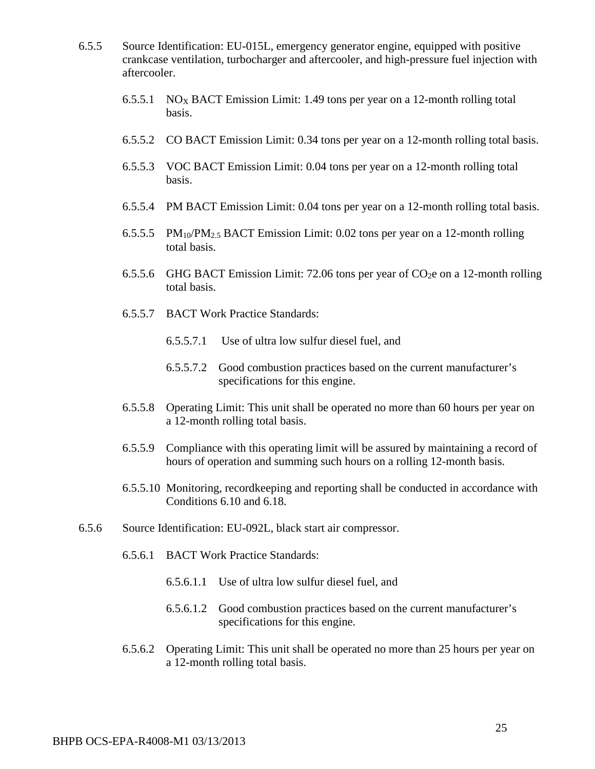- 6.5.5 Source Identification: EU-015L, emergency generator engine, equipped with positive crankcase ventilation, turbocharger and aftercooler, and high-pressure fuel injection with aftercooler.
	- 6.5.5.1 NOX BACT Emission Limit: 1.49 tons per year on a 12-month rolling total basis.
	- 6.5.5.2 CO BACT Emission Limit: 0.34 tons per year on a 12-month rolling total basis.
	- 6.5.5.3 VOC BACT Emission Limit: 0.04 tons per year on a 12-month rolling total basis.
	- 6.5.5.4 PM BACT Emission Limit: 0.04 tons per year on a 12-month rolling total basis.
	- 6.5.5.5 PM10/PM2.5 BACT Emission Limit: 0.02 tons per year on a 12-month rolling total basis.
	- 6.5.5.6 GHG BACT Emission Limit: 72.06 tons per year of  $CO<sub>2</sub>e$  on a 12-month rolling total basis.
	- 6.5.5.7 BACT Work Practice Standards:
		- 6.5.5.7.1 Use of ultra low sulfur diesel fuel, and
		- 6.5.5.7.2 Good combustion practices based on the current manufacturer's specifications for this engine.
	- 6.5.5.8 Operating Limit: This unit shall be operated no more than 60 hours per year on a 12-month rolling total basis.
	- 6.5.5.9 Compliance with this operating limit will be assured by maintaining a record of hours of operation and summing such hours on a rolling 12-month basis.
	- 6.5.5.10 Monitoring, recordkeeping and reporting shall be conducted in accordance with Conditions 6.10 and 6.18.
- 6.5.6 Source Identification: EU-092L, black start air compressor.
	- 6.5.6.1 BACT Work Practice Standards:
		- 6.5.6.1.1 Use of ultra low sulfur diesel fuel, and
		- 6.5.6.1.2 Good combustion practices based on the current manufacturer's specifications for this engine.
	- 6.5.6.2 Operating Limit: This unit shall be operated no more than 25 hours per year on a 12-month rolling total basis.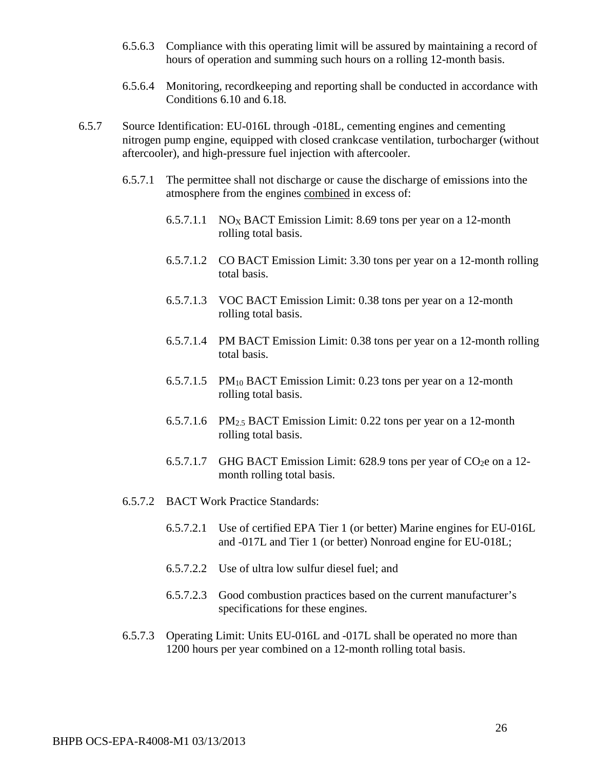- 6.5.6.3 Compliance with this operating limit will be assured by maintaining a record of hours of operation and summing such hours on a rolling 12-month basis.
- 6.5.6.4 Monitoring, recordkeeping and reporting shall be conducted in accordance with Conditions 6.10 and 6.18.
- 6.5.7 Source Identification: EU-016L through -018L, cementing engines and cementing nitrogen pump engine, equipped with closed crankcase ventilation, turbocharger (without aftercooler), and high-pressure fuel injection with aftercooler.
	- 6.5.7.1 The permittee shall not discharge or cause the discharge of emissions into the atmosphere from the engines combined in excess of:
		- 6.5.7.1.1 NO<sub>X</sub> BACT Emission Limit: 8.69 tons per year on a 12-month rolling total basis.
		- 6.5.7.1.2 CO BACT Emission Limit: 3.30 tons per year on a 12-month rolling total basis.
		- 6.5.7.1.3 VOC BACT Emission Limit: 0.38 tons per year on a 12-month rolling total basis.
		- 6.5.7.1.4 PM BACT Emission Limit: 0.38 tons per year on a 12-month rolling total basis.
		- 6.5.7.1.5 PM10 BACT Emission Limit: 0.23 tons per year on a 12-month rolling total basis.
		- 6.5.7.1.6 PM2.5 BACT Emission Limit: 0.22 tons per year on a 12-month rolling total basis.
		- 6.5.7.1.7 GHG BACT Emission Limit: 628.9 tons per year of  $CO<sub>2</sub>e$  on a 12month rolling total basis.
	- 6.5.7.2 BACT Work Practice Standards:
		- 6.5.7.2.1 Use of certified EPA Tier 1 (or better) Marine engines for EU-016L and -017L and Tier 1 (or better) Nonroad engine for EU-018L;
		- 6.5.7.2.2 Use of ultra low sulfur diesel fuel; and
		- 6.5.7.2.3 Good combustion practices based on the current manufacturer's specifications for these engines.
	- 6.5.7.3 Operating Limit: Units EU-016L and -017L shall be operated no more than 1200 hours per year combined on a 12-month rolling total basis.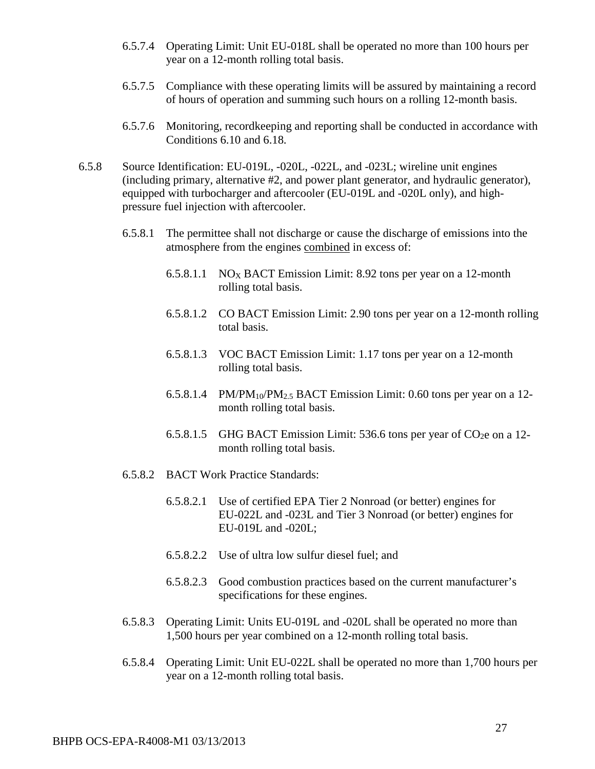- 6.5.7.4 Operating Limit: Unit EU-018L shall be operated no more than 100 hours per year on a 12-month rolling total basis.
- 6.5.7.5 Compliance with these operating limits will be assured by maintaining a record of hours of operation and summing such hours on a rolling 12-month basis.
- 6.5.7.6 Monitoring, recordkeeping and reporting shall be conducted in accordance with Conditions 6.10 and 6.18.
- 6.5.8 Source Identification: EU-019L, -020L, -022L, and -023L; wireline unit engines (including primary, alternative #2, and power plant generator, and hydraulic generator), equipped with turbocharger and aftercooler (EU-019L and -020L only), and highpressure fuel injection with aftercooler.
	- 6.5.8.1 The permittee shall not discharge or cause the discharge of emissions into the atmosphere from the engines combined in excess of:
		- 6.5.8.1.1 NO<sub>X</sub> BACT Emission Limit: 8.92 tons per year on a 12-month rolling total basis.
		- 6.5.8.1.2 CO BACT Emission Limit: 2.90 tons per year on a 12-month rolling total basis.
		- 6.5.8.1.3 VOC BACT Emission Limit: 1.17 tons per year on a 12-month rolling total basis.
		- 6.5.8.1.4 PM/PM10/PM2.5 BACT Emission Limit: 0.60 tons per year on a 12 month rolling total basis.
		- 6.5.8.1.5 GHG BACT Emission Limit: 536.6 tons per year of  $CO<sub>2</sub>e$  on a 12month rolling total basis.
	- 6.5.8.2 BACT Work Practice Standards:
		- 6.5.8.2.1 Use of certified EPA Tier 2 Nonroad (or better) engines for EU-022L and -023L and Tier 3 Nonroad (or better) engines for EU-019L and -020L;
		- 6.5.8.2.2 Use of ultra low sulfur diesel fuel; and
		- 6.5.8.2.3 Good combustion practices based on the current manufacturer's specifications for these engines.
	- 6.5.8.3 Operating Limit: Units EU-019L and -020L shall be operated no more than 1,500 hours per year combined on a 12-month rolling total basis.
	- 6.5.8.4 Operating Limit: Unit EU-022L shall be operated no more than 1,700 hours per year on a 12-month rolling total basis.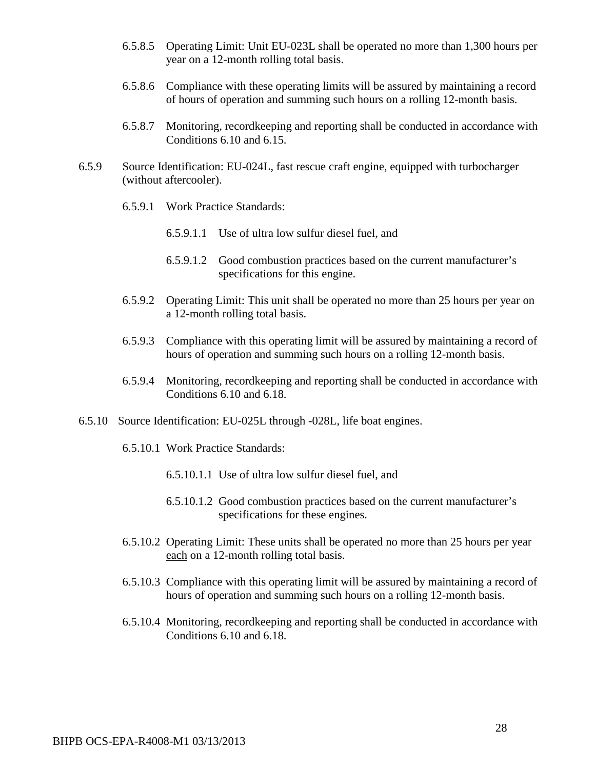- 6.5.8.5 Operating Limit: Unit EU-023L shall be operated no more than 1,300 hours per year on a 12-month rolling total basis.
- 6.5.8.6 Compliance with these operating limits will be assured by maintaining a record of hours of operation and summing such hours on a rolling 12-month basis.
- 6.5.8.7 Monitoring, recordkeeping and reporting shall be conducted in accordance with Conditions 6.10 and 6.15.
- 6.5.9 Source Identification: EU-024L, fast rescue craft engine, equipped with turbocharger (without aftercooler).
	- 6.5.9.1 Work Practice Standards:
		- 6.5.9.1.1 Use of ultra low sulfur diesel fuel, and
		- 6.5.9.1.2 Good combustion practices based on the current manufacturer's specifications for this engine.
	- 6.5.9.2 Operating Limit: This unit shall be operated no more than 25 hours per year on a 12-month rolling total basis.
	- 6.5.9.3 Compliance with this operating limit will be assured by maintaining a record of hours of operation and summing such hours on a rolling 12-month basis.
	- 6.5.9.4 Monitoring, recordkeeping and reporting shall be conducted in accordance with Conditions 6.10 and 6.18.
- 6.5.10 Source Identification: EU-025L through -028L, life boat engines.
	- 6.5.10.1 Work Practice Standards:
		- 6.5.10.1.1 Use of ultra low sulfur diesel fuel, and
		- 6.5.10.1.2 Good combustion practices based on the current manufacturer's specifications for these engines.
	- 6.5.10.2 Operating Limit: These units shall be operated no more than 25 hours per year each on a 12-month rolling total basis.
	- 6.5.10.3 Compliance with this operating limit will be assured by maintaining a record of hours of operation and summing such hours on a rolling 12-month basis.
	- 6.5.10.4 Monitoring, recordkeeping and reporting shall be conducted in accordance with Conditions 6.10 and 6.18.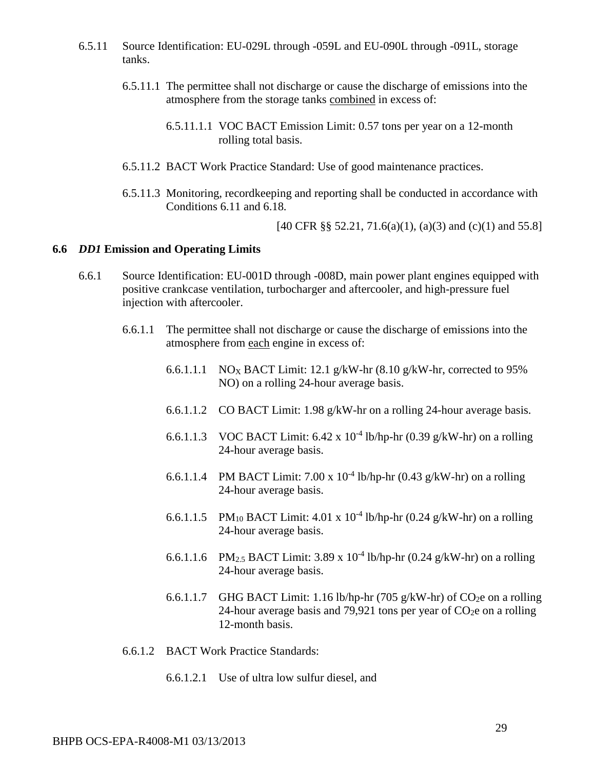- 6.5.11 Source Identification: EU-029L through -059L and EU-090L through -091L, storage tanks.
	- 6.5.11.1 The permittee shall not discharge or cause the discharge of emissions into the atmosphere from the storage tanks combined in excess of:
		- 6.5.11.1.1 VOC BACT Emission Limit: 0.57 tons per year on a 12-month rolling total basis.
	- 6.5.11.2 BACT Work Practice Standard: Use of good maintenance practices.
	- 6.5.11.3 Monitoring, recordkeeping and reporting shall be conducted in accordance with Conditions 6.11 and 6.18.

[40 CFR §§ 52.21, 71.6(a)(1), (a)(3) and (c)(1) and 55.8]

#### **6.6** *DD1* **Emission and Operating Limits**

- 6.6.1 Source Identification: EU-001D through -008D, main power plant engines equipped with positive crankcase ventilation, turbocharger and aftercooler, and high-pressure fuel injection with aftercooler.
	- 6.6.1.1 The permittee shall not discharge or cause the discharge of emissions into the atmosphere from each engine in excess of:
		- 6.6.1.1.1 NO<sub>X</sub> BACT Limit: 12.1 g/kW-hr  $(8.10 \text{ g/kW-hr})$ , corrected to 95% NO) on a rolling 24-hour average basis.
		- 6.6.1.1.2 CO BACT Limit: 1.98 g/kW-hr on a rolling 24-hour average basis.
		- 6.6.1.1.3 VOC BACT Limit: 6.42 x  $10^{-4}$  lb/hp-hr (0.39 g/kW-hr) on a rolling 24-hour average basis.
		- 6.6.1.1.4 PM BACT Limit: 7.00 x  $10^{-4}$  lb/hp-hr (0.43 g/kW-hr) on a rolling 24-hour average basis.
		- 6.6.1.1.5 PM<sub>10</sub> BACT Limit: 4.01 x 10<sup>-4</sup> lb/hp-hr (0.24 g/kW-hr) on a rolling 24-hour average basis.
		- 6.6.1.1.6 PM<sub>2.5</sub> BACT Limit: 3.89 x 10<sup>-4</sup> lb/hp-hr (0.24 g/kW-hr) on a rolling 24-hour average basis.
		- 6.6.1.1.7 GHG BACT Limit: 1.16 lb/hp-hr (705 g/kW-hr) of CO<sub>2</sub>e on a rolling 24-hour average basis and 79,921 tons per year of  $CO<sub>2</sub>e$  on a rolling 12-month basis.
	- 6.6.1.2 BACT Work Practice Standards:
		- 6.6.1.2.1 Use of ultra low sulfur diesel, and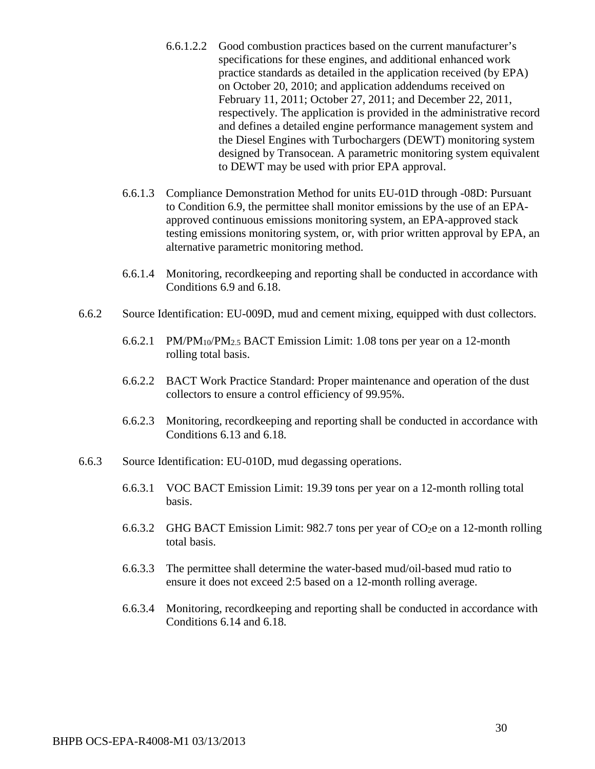- 6.6.1.2.2 Good combustion practices based on the current manufacturer's specifications for these engines, and additional enhanced work practice standards as detailed in the application received (by EPA) on October 20, 2010; and application addendums received on February 11, 2011; October 27, 2011; and December 22, 2011, respectively. The application is provided in the administrative record and defines a detailed engine performance management system and the Diesel Engines with Turbochargers (DEWT) monitoring system designed by Transocean. A parametric monitoring system equivalent to DEWT may be used with prior EPA approval.
- 6.6.1.3 Compliance Demonstration Method for units EU-01D through -08D: Pursuant to Condition 6.9, the permittee shall monitor emissions by the use of an EPAapproved continuous emissions monitoring system, an EPA-approved stack testing emissions monitoring system, or, with prior written approval by EPA, an alternative parametric monitoring method.
- 6.6.1.4 Monitoring, recordkeeping and reporting shall be conducted in accordance with Conditions 6.9 and 6.18.
- 6.6.2 Source Identification: EU-009D, mud and cement mixing, equipped with dust collectors.
	- 6.6.2.1 PM/PM<sub>10</sub>/PM<sub>2.5</sub> BACT Emission Limit: 1.08 tons per year on a 12-month rolling total basis.
	- 6.6.2.2 BACT Work Practice Standard: Proper maintenance and operation of the dust collectors to ensure a control efficiency of 99.95%.
	- 6.6.2.3 Monitoring, recordkeeping and reporting shall be conducted in accordance with Conditions 6.13 and 6.18.
- 6.6.3 Source Identification: EU-010D, mud degassing operations.
	- 6.6.3.1 VOC BACT Emission Limit: 19.39 tons per year on a 12-month rolling total basis.
	- 6.6.3.2 GHG BACT Emission Limit: 982.7 tons per year of  $CO<sub>2</sub>e$  on a 12-month rolling total basis.
	- 6.6.3.3 The permittee shall determine the water-based mud/oil-based mud ratio to ensure it does not exceed 2:5 based on a 12-month rolling average.
	- 6.6.3.4 Monitoring, recordkeeping and reporting shall be conducted in accordance with Conditions 6.14 and 6.18.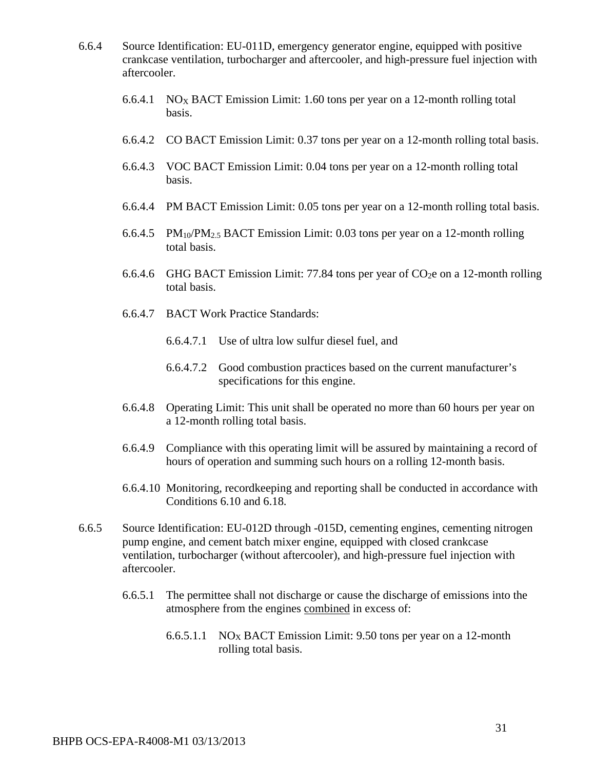- 6.6.4 Source Identification: EU-011D, emergency generator engine, equipped with positive crankcase ventilation, turbocharger and aftercooler, and high-pressure fuel injection with aftercooler.
	- 6.6.4.1 NOX BACT Emission Limit: 1.60 tons per year on a 12-month rolling total basis.
	- 6.6.4.2 CO BACT Emission Limit: 0.37 tons per year on a 12-month rolling total basis.
	- 6.6.4.3 VOC BACT Emission Limit: 0.04 tons per year on a 12-month rolling total basis.
	- 6.6.4.4 PM BACT Emission Limit: 0.05 tons per year on a 12-month rolling total basis.
	- 6.6.4.5 PM10/PM2.5 BACT Emission Limit: 0.03 tons per year on a 12-month rolling total basis.
	- 6.6.4.6 GHG BACT Emission Limit: 77.84 tons per year of  $CO<sub>2</sub>e$  on a 12-month rolling total basis.
	- 6.6.4.7 BACT Work Practice Standards:
		- 6.6.4.7.1 Use of ultra low sulfur diesel fuel, and
		- 6.6.4.7.2 Good combustion practices based on the current manufacturer's specifications for this engine.
	- 6.6.4.8 Operating Limit: This unit shall be operated no more than 60 hours per year on a 12-month rolling total basis.
	- 6.6.4.9 Compliance with this operating limit will be assured by maintaining a record of hours of operation and summing such hours on a rolling 12-month basis.
	- 6.6.4.10 Monitoring, recordkeeping and reporting shall be conducted in accordance with Conditions 6.10 and 6.18.
- 6.6.5 Source Identification: EU-012D through -015D, cementing engines, cementing nitrogen pump engine, and cement batch mixer engine, equipped with closed crankcase ventilation, turbocharger (without aftercooler), and high-pressure fuel injection with aftercooler.
	- 6.6.5.1 The permittee shall not discharge or cause the discharge of emissions into the atmosphere from the engines combined in excess of:
		- 6.6.5.1.1 NOX BACT Emission Limit: 9.50 tons per year on a 12-month rolling total basis.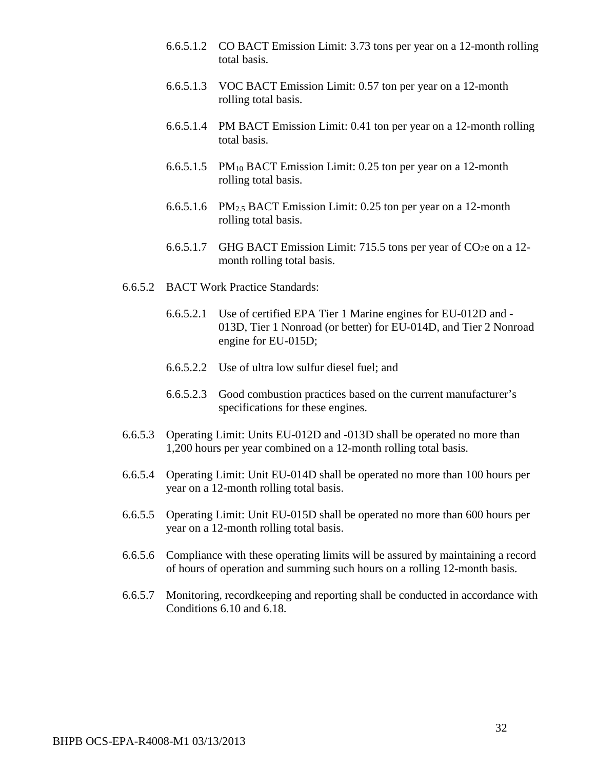- 6.6.5.1.2 CO BACT Emission Limit: 3.73 tons per year on a 12-month rolling total basis.
- 6.6.5.1.3 VOC BACT Emission Limit: 0.57 ton per year on a 12-month rolling total basis.
- 6.6.5.1.4 PM BACT Emission Limit: 0.41 ton per year on a 12-month rolling total basis.
- 6.6.5.1.5 PM10 BACT Emission Limit: 0.25 ton per year on a 12-month rolling total basis.
- 6.6.5.1.6 PM2.5 BACT Emission Limit: 0.25 ton per year on a 12-month rolling total basis.
- 6.6.5.1.7 GHG BACT Emission Limit: 715.5 tons per year of  $CO<sub>2</sub>e$  on a 12month rolling total basis.
- 6.6.5.2 BACT Work Practice Standards:
	- 6.6.5.2.1 Use of certified EPA Tier 1 Marine engines for EU-012D and 013D, Tier 1 Nonroad (or better) for EU-014D, and Tier 2 Nonroad engine for EU-015D;
	- 6.6.5.2.2 Use of ultra low sulfur diesel fuel; and
	- 6.6.5.2.3 Good combustion practices based on the current manufacturer's specifications for these engines.
- 6.6.5.3 Operating Limit: Units EU-012D and -013D shall be operated no more than 1,200 hours per year combined on a 12-month rolling total basis.
- 6.6.5.4 Operating Limit: Unit EU-014D shall be operated no more than 100 hours per year on a 12-month rolling total basis.
- 6.6.5.5 Operating Limit: Unit EU-015D shall be operated no more than 600 hours per year on a 12-month rolling total basis.
- 6.6.5.6 Compliance with these operating limits will be assured by maintaining a record of hours of operation and summing such hours on a rolling 12-month basis.
- 6.6.5.7 Monitoring, recordkeeping and reporting shall be conducted in accordance with Conditions 6.10 and 6.18.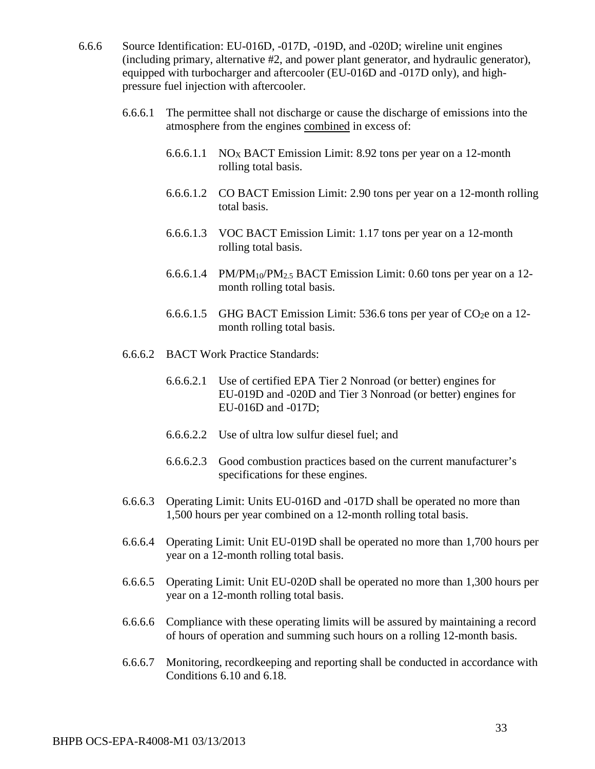- 6.6.6 Source Identification: EU-016D, -017D, -019D, and -020D; wireline unit engines (including primary, alternative #2, and power plant generator, and hydraulic generator), equipped with turbocharger and aftercooler (EU-016D and -017D only), and highpressure fuel injection with aftercooler.
	- 6.6.6.1 The permittee shall not discharge or cause the discharge of emissions into the atmosphere from the engines combined in excess of:
		- 6.6.6.1.1 NO<sub>X</sub> BACT Emission Limit: 8.92 tons per year on a 12-month rolling total basis.
		- 6.6.6.1.2 CO BACT Emission Limit: 2.90 tons per year on a 12-month rolling total basis.
		- 6.6.6.1.3 VOC BACT Emission Limit: 1.17 tons per year on a 12-month rolling total basis.
		- 6.6.6.1.4 PM/PM<sub>10</sub>/PM<sub>2.5</sub> BACT Emission Limit: 0.60 tons per year on a 12month rolling total basis.
		- 6.6.6.1.5 GHG BACT Emission Limit: 536.6 tons per year of  $CO<sub>2</sub>e$  on a 12month rolling total basis.
	- 6.6.6.2 BACT Work Practice Standards:
		- 6.6.6.2.1 Use of certified EPA Tier 2 Nonroad (or better) engines for EU-019D and -020D and Tier 3 Nonroad (or better) engines for EU-016D and -017D;
		- 6.6.6.2.2 Use of ultra low sulfur diesel fuel; and
		- 6.6.6.2.3 Good combustion practices based on the current manufacturer's specifications for these engines.
	- 6.6.6.3 Operating Limit: Units EU-016D and -017D shall be operated no more than 1,500 hours per year combined on a 12-month rolling total basis.
	- 6.6.6.4 Operating Limit: Unit EU-019D shall be operated no more than 1,700 hours per year on a 12-month rolling total basis.
	- 6.6.6.5 Operating Limit: Unit EU-020D shall be operated no more than 1,300 hours per year on a 12-month rolling total basis.
	- 6.6.6.6 Compliance with these operating limits will be assured by maintaining a record of hours of operation and summing such hours on a rolling 12-month basis.
	- 6.6.6.7 Monitoring, recordkeeping and reporting shall be conducted in accordance with Conditions 6.10 and 6.18.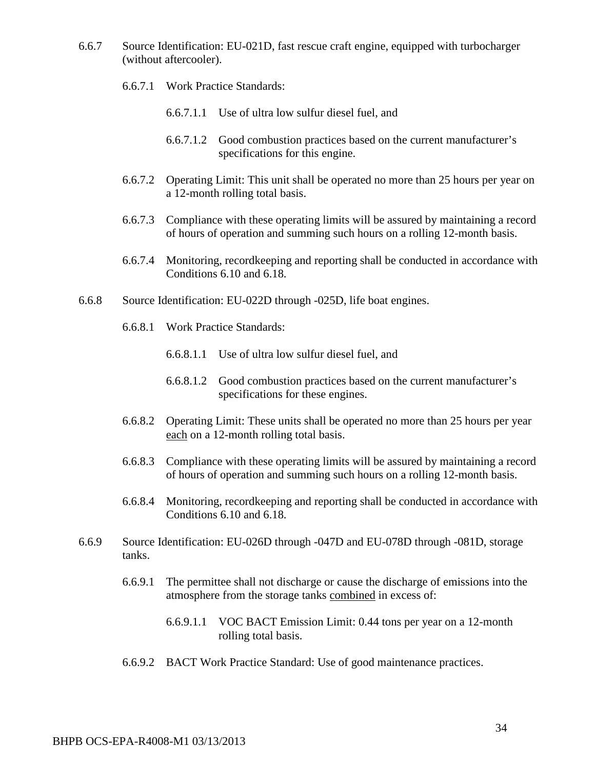- 6.6.7 Source Identification: EU-021D, fast rescue craft engine, equipped with turbocharger (without aftercooler).
	- 6.6.7.1 Work Practice Standards:
		- 6.6.7.1.1 Use of ultra low sulfur diesel fuel, and
		- 6.6.7.1.2 Good combustion practices based on the current manufacturer's specifications for this engine.
	- 6.6.7.2 Operating Limit: This unit shall be operated no more than 25 hours per year on a 12-month rolling total basis.
	- 6.6.7.3 Compliance with these operating limits will be assured by maintaining a record of hours of operation and summing such hours on a rolling 12-month basis.
	- 6.6.7.4 Monitoring, recordkeeping and reporting shall be conducted in accordance with Conditions 6.10 and 6.18.
- 6.6.8 Source Identification: EU-022D through -025D, life boat engines.
	- 6.6.8.1 Work Practice Standards:
		- 6.6.8.1.1 Use of ultra low sulfur diesel fuel, and
		- 6.6.8.1.2 Good combustion practices based on the current manufacturer's specifications for these engines.
	- 6.6.8.2 Operating Limit: These units shall be operated no more than 25 hours per year each on a 12-month rolling total basis.
	- 6.6.8.3 Compliance with these operating limits will be assured by maintaining a record of hours of operation and summing such hours on a rolling 12-month basis.
	- 6.6.8.4 Monitoring, recordkeeping and reporting shall be conducted in accordance with Conditions 6.10 and 6.18.
- 6.6.9 Source Identification: EU-026D through -047D and EU-078D through -081D, storage tanks.
	- 6.6.9.1 The permittee shall not discharge or cause the discharge of emissions into the atmosphere from the storage tanks combined in excess of:
		- 6.6.9.1.1 VOC BACT Emission Limit: 0.44 tons per year on a 12-month rolling total basis.
	- 6.6.9.2 BACT Work Practice Standard: Use of good maintenance practices.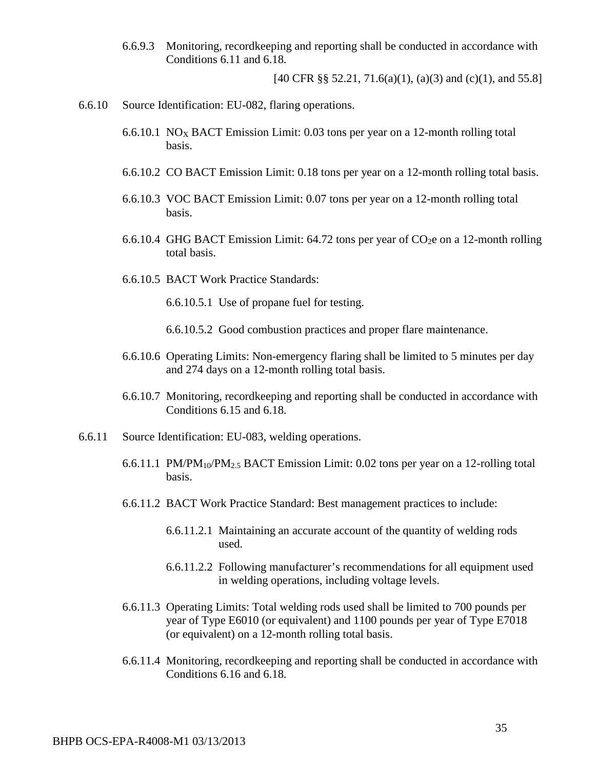6.6.9.3 Monitoring, recordkeeping and reporting shall be conducted in accordance with Conditions 6.11 and 6.18.

[40 CFR §§ 52.21, 71.6(a)(1), (a)(3) and (c)(1), and 55.8]

- 6.6.10 Source Identification: EU-082, flaring operations.
	- 6.6.10.1 NO<sub>X</sub> BACT Emission Limit: 0.03 tons per year on a 12-month rolling total basis.
	- 6.6.10.2 CO BACT Emission Limit: 0.18 tons per year on a 12-month rolling total basis.
	- 6.6.10.3 VOC BACT Emission Limit: 0.07 tons per year on a 12-month rolling total basis.
	- 6.6.10.4 GHG BACT Emission Limit:  $64.72$  tons per year of CO<sub>2</sub>e on a 12-month rolling total basis.
	- 6.6.10.5 BACT Work Practice Standards:
		- 6.6.10.5.1 Use of propane fuel for testing.
		- 6.6.10.5.2 Good combustion practices and proper flare maintenance.
	- 6.6.10.6 Operating Limits: Non-emergency flaring shall be limited to 5 minutes per day and 274 days on a 12-month rolling total basis.
	- 6.6.10.7 Monitoring, recordkeeping and reporting shall be conducted in accordance with Conditions 6.15 and 6.18.
- 6.6.11 Source Identification: EU-083, welding operations.
	- 6.6.11.1 PM/PM10/PM2.5 BACT Emission Limit: 0.02 tons per year on a 12-rolling total basis.
	- 6.6.11.2 BACT Work Practice Standard: Best management practices to include:
		- 6.6.11.2.1 Maintaining an accurate account of the quantity of welding rods used.
		- 6.6.11.2.2 Following manufacturer's recommendations for all equipment used in welding operations, including voltage levels.
	- 6.6.11.3 Operating Limits: Total welding rods used shall be limited to 700 pounds per year of Type E6010 (or equivalent) and 1100 pounds per year of Type E7018 (or equivalent) on a 12-month rolling total basis.
	- 6.6.11.4 Monitoring, recordkeeping and reporting shall be conducted in accordance with Conditions 6.16 and 6.18.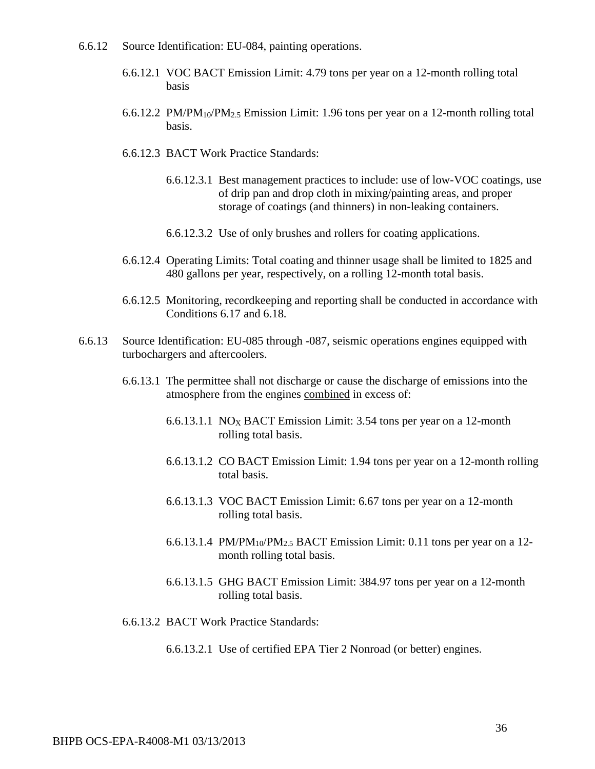- 6.6.12 Source Identification: EU-084, painting operations.
	- 6.6.12.1 VOC BACT Emission Limit: 4.79 tons per year on a 12-month rolling total basis
	- 6.6.12.2 PM/PM10/PM2.5 Emission Limit: 1.96 tons per year on a 12-month rolling total basis.
	- 6.6.12.3 BACT Work Practice Standards:
		- 6.6.12.3.1 Best management practices to include: use of low-VOC coatings, use of drip pan and drop cloth in mixing/painting areas, and proper storage of coatings (and thinners) in non-leaking containers.
		- 6.6.12.3.2 Use of only brushes and rollers for coating applications.
	- 6.6.12.4 Operating Limits: Total coating and thinner usage shall be limited to 1825 and 480 gallons per year, respectively, on a rolling 12-month total basis.
	- 6.6.12.5 Monitoring, recordkeeping and reporting shall be conducted in accordance with Conditions 6.17 and 6.18.
- 6.6.13 Source Identification: EU-085 through -087, seismic operations engines equipped with turbochargers and aftercoolers.
	- 6.6.13.1 The permittee shall not discharge or cause the discharge of emissions into the atmosphere from the engines combined in excess of:
		- 6.6.13.1.1 NO<sub>X</sub> BACT Emission Limit: 3.54 tons per year on a 12-month rolling total basis.
		- 6.6.13.1.2 CO BACT Emission Limit: 1.94 tons per year on a 12-month rolling total basis.
		- 6.6.13.1.3 VOC BACT Emission Limit: 6.67 tons per year on a 12-month rolling total basis.
		- 6.6.13.1.4 PM/PM<sub>10</sub>/PM<sub>2.5</sub> BACT Emission Limit: 0.11 tons per year on a 12month rolling total basis.
		- 6.6.13.1.5 GHG BACT Emission Limit: 384.97 tons per year on a 12-month rolling total basis.
	- 6.6.13.2 BACT Work Practice Standards:
		- 6.6.13.2.1 Use of certified EPA Tier 2 Nonroad (or better) engines.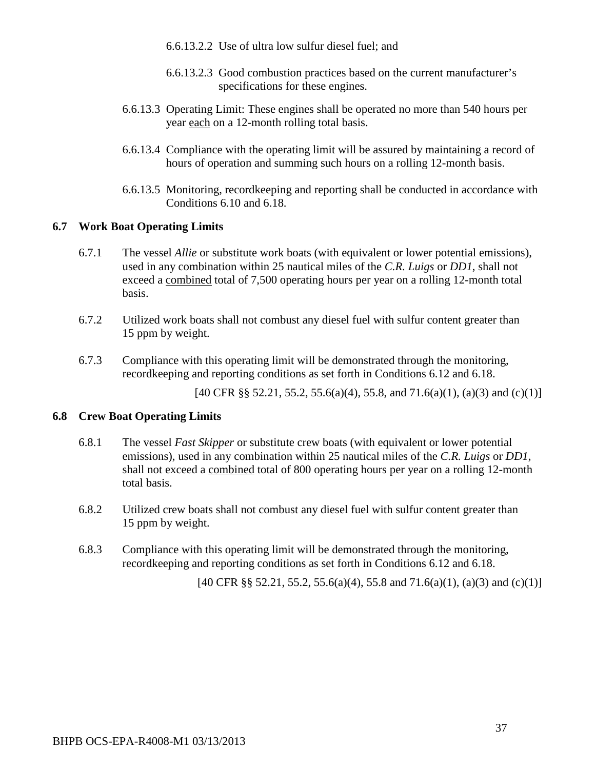- 6.6.13.2.2 Use of ultra low sulfur diesel fuel; and
- 6.6.13.2.3 Good combustion practices based on the current manufacturer's specifications for these engines.
- 6.6.13.3 Operating Limit: These engines shall be operated no more than 540 hours per year each on a 12-month rolling total basis.
- 6.6.13.4 Compliance with the operating limit will be assured by maintaining a record of hours of operation and summing such hours on a rolling 12-month basis.
- 6.6.13.5 Monitoring, recordkeeping and reporting shall be conducted in accordance with Conditions 6.10 and 6.18.

#### **6.7 Work Boat Operating Limits**

- 6.7.1 The vessel *Allie* or substitute work boats (with equivalent or lower potential emissions), used in any combination within 25 nautical miles of the *C.R. Luigs* or *DD1*, shall not exceed a combined total of 7,500 operating hours per year on a rolling 12-month total basis.
- 6.7.2 Utilized work boats shall not combust any diesel fuel with sulfur content greater than 15 ppm by weight.
- 6.7.3 Compliance with this operating limit will be demonstrated through the monitoring, recordkeeping and reporting conditions as set forth in Conditions 6.12 and 6.18.

[40 CFR §§ 52.21, 55.2, 55.6(a)(4), 55.8, and 71.6(a)(1), (a)(3) and (c)(1)]

#### **6.8 Crew Boat Operating Limits**

- 6.8.1 The vessel *Fast Skipper* or substitute crew boats (with equivalent or lower potential emissions), used in any combination within 25 nautical miles of the *C.R. Luigs* or *DD1*, shall not exceed a combined total of 800 operating hours per year on a rolling 12-month total basis.
- 6.8.2 Utilized crew boats shall not combust any diesel fuel with sulfur content greater than 15 ppm by weight.
- 6.8.3 Compliance with this operating limit will be demonstrated through the monitoring, recordkeeping and reporting conditions as set forth in Conditions 6.12 and 6.18.

[40 CFR §§ 52.21, 55.2, 55.6(a)(4), 55.8 and 71.6(a)(1), (a)(3) and (c)(1)]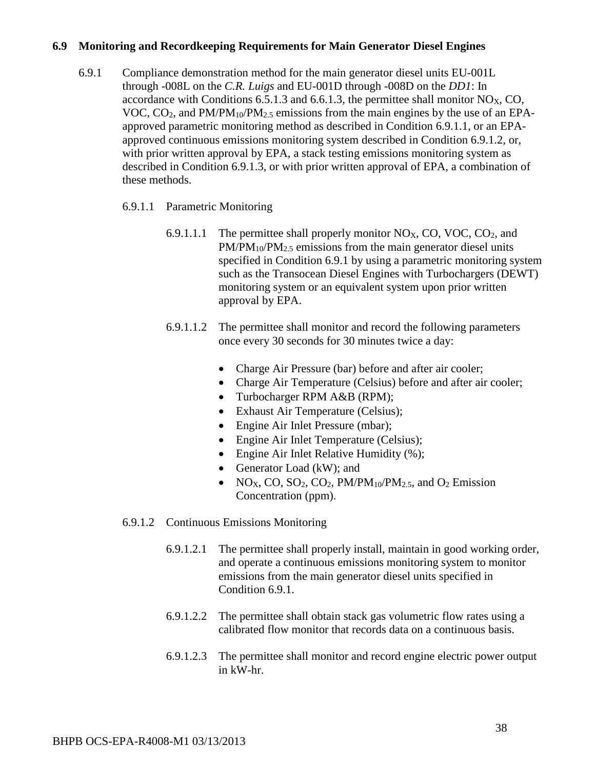#### **6.9 Monitoring and Recordkeeping Requirements for Main Generator Diesel Engines**

6.9.1 Compliance demonstration method for the main generator diesel units EU-001L through -008L on the *C.R. Luigs* and EU-001D through -008D on the *DD1*: In accordance with Conditions  $6.5.1.3$  and  $6.6.1.3$ , the permittee shall monitor NO<sub>X</sub>, CO, VOC,  $CO<sub>2</sub>$ , and  $PM/PM_{10}/PM_{2.5}$  emissions from the main engines by the use of an EPAapproved parametric monitoring method as described in Condition 6.9.1.1, or an EPAapproved continuous emissions monitoring system described in Condition 6.9.1.2, or, with prior written approval by EPA, a stack testing emissions monitoring system as described in Condition 6.9.1.3, or with prior written approval of EPA, a combination of these methods.

#### 6.9.1.1 Parametric Monitoring

- 6.9.1.1.1 The permittee shall properly monitor  $NO<sub>X</sub>$ , CO, VOC, CO<sub>2</sub>, and PM/PM<sub>10</sub>/PM<sub>2.5</sub> emissions from the main generator diesel units specified in Condition 6.9.1 by using a parametric monitoring system such as the Transocean Diesel Engines with Turbochargers (DEWT) monitoring system or an equivalent system upon prior written approval by EPA.
- 6.9.1.1.2 The permittee shall monitor and record the following parameters once every 30 seconds for 30 minutes twice a day:
	- Charge Air Pressure (bar) before and after air cooler;
	- Charge Air Temperature (Celsius) before and after air cooler;
	- Turbocharger RPM A&B (RPM);
	- Exhaust Air Temperature (Celsius);
	- Engine Air Inlet Pressure (mbar);
	- Engine Air Inlet Temperature (Celsius);
	- Engine Air Inlet Relative Humidity (%);
	- Generator Load (kW); and
	- $NO<sub>X</sub>, CO, SO<sub>2</sub>, CO<sub>2</sub>, PM/PM<sub>10</sub>/PM<sub>2.5</sub>, and O<sub>2</sub> Emission$ Concentration (ppm).

#### 6.9.1.2 Continuous Emissions Monitoring

- 6.9.1.2.1 The permittee shall properly install, maintain in good working order, and operate a continuous emissions monitoring system to monitor emissions from the main generator diesel units specified in Condition 6.9.1.
- 6.9.1.2.2 The permittee shall obtain stack gas volumetric flow rates using a calibrated flow monitor that records data on a continuous basis.
- 6.9.1.2.3 The permittee shall monitor and record engine electric power output in kW-hr.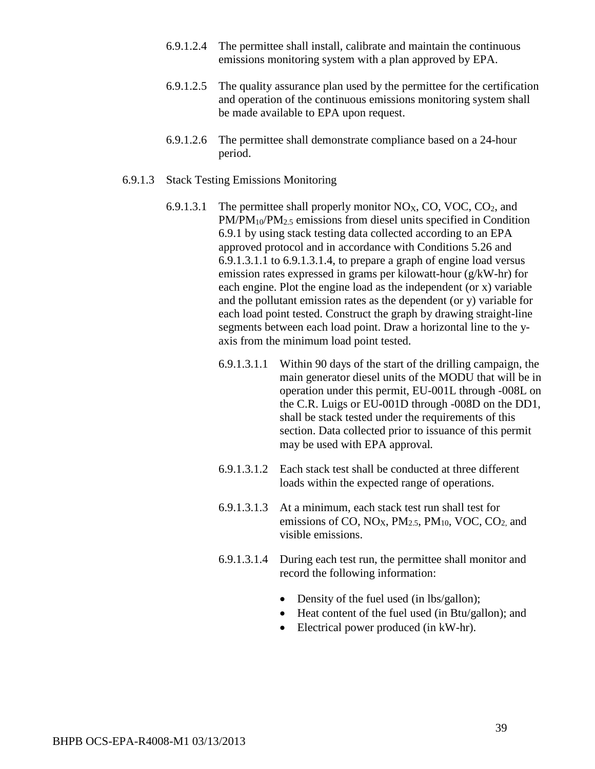- 6.9.1.2.4 The permittee shall install, calibrate and maintain the continuous emissions monitoring system with a plan approved by EPA.
- 6.9.1.2.5 The quality assurance plan used by the permittee for the certification and operation of the continuous emissions monitoring system shall be made available to EPA upon request.
- 6.9.1.2.6 The permittee shall demonstrate compliance based on a 24-hour period.
- 6.9.1.3 Stack Testing Emissions Monitoring
	- 6.9.1.3.1 The permittee shall properly monitor  $NO<sub>X</sub>$ , CO, VOC, CO<sub>2</sub>, and PM/PM<sub>10</sub>/PM<sub>2.5</sub> emissions from diesel units specified in Condition 6.9.1 by using stack testing data collected according to an EPA approved protocol and in accordance with Conditions 5.26 and 6.9.1.3.1.1 to 6.9.1.3.1.4, to prepare a graph of engine load versus emission rates expressed in grams per kilowatt-hour (g/kW-hr) for each engine. Plot the engine load as the independent (or x) variable and the pollutant emission rates as the dependent (or y) variable for each load point tested. Construct the graph by drawing straight-line segments between each load point. Draw a horizontal line to the yaxis from the minimum load point tested.
		- 6.9.1.3.1.1 Within 90 days of the start of the drilling campaign, the main generator diesel units of the MODU that will be in operation under this permit, EU-001L through -008L on the C.R. Luigs or EU-001D through -008D on the DD1, shall be stack tested under the requirements of this section. Data collected prior to issuance of this permit may be used with EPA approval*.*
		- 6.9.1.3.1.2 Each stack test shall be conducted at three different loads within the expected range of operations.
		- 6.9.1.3.1.3 At a minimum, each stack test run shall test for emissions of CO,  $NO<sub>X</sub>$ ,  $PM<sub>2.5</sub>$ ,  $PM<sub>10</sub>$ , VOC, CO<sub>2</sub>, and visible emissions.
		- 6.9.1.3.1.4 During each test run, the permittee shall monitor and record the following information:
			- Density of the fuel used (in lbs/gallon);
			- Heat content of the fuel used (in Btu/gallon); and
			- Electrical power produced (in kW-hr).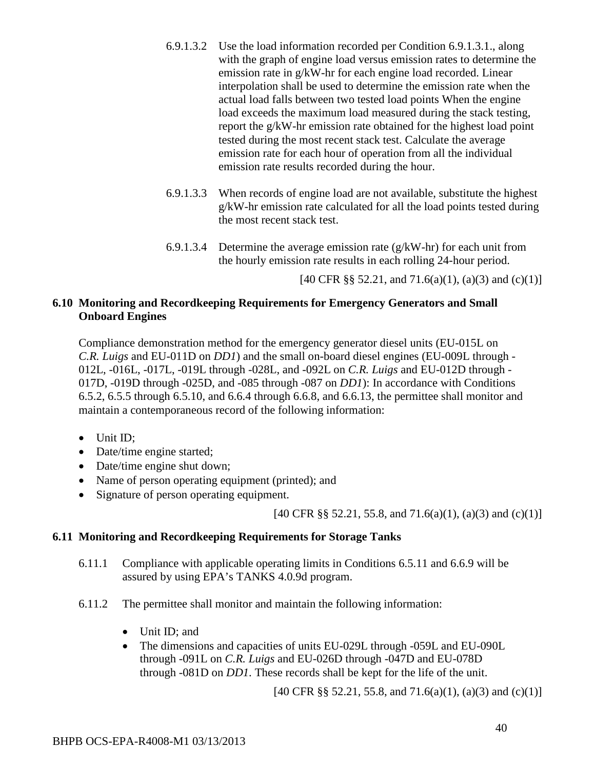- 6.9.1.3.2 Use the load information recorded per Condition 6.9.1.3.1., along with the graph of engine load versus emission rates to determine the emission rate in g/kW-hr for each engine load recorded. Linear interpolation shall be used to determine the emission rate when the actual load falls between two tested load points When the engine load exceeds the maximum load measured during the stack testing, report the g/kW-hr emission rate obtained for the highest load point tested during the most recent stack test. Calculate the average emission rate for each hour of operation from all the individual emission rate results recorded during the hour.
- 6.9.1.3.3 When records of engine load are not available, substitute the highest g/kW-hr emission rate calculated for all the load points tested during the most recent stack test.
- 6.9.1.3.4 Determine the average emission rate  $(g/kW-hr)$  for each unit from the hourly emission rate results in each rolling 24-hour period.

[40 CFR §§ 52.21, and 71.6(a)(1), (a)(3) and (c)(1)]

## **6.10 Monitoring and Recordkeeping Requirements for Emergency Generators and Small Onboard Engines**

Compliance demonstration method for the emergency generator diesel units (EU-015L on *C.R. Luigs* and EU-011D on *DD1*) and the small on-board diesel engines (EU-009L through - 012L, -016L, -017L, -019L through -028L, and -092L on *C.R. Luigs* and EU-012D through - 017D, -019D through -025D, and -085 through -087 on *DD1*): In accordance with Conditions 6.5.2, 6.5.5 through 6.5.10, and 6.6.4 through 6.6.8, and 6.6.13, the permittee shall monitor and maintain a contemporaneous record of the following information:

- Unit ID;
- Date/time engine started;
- Date/time engine shut down;
- Name of person operating equipment (printed); and
- Signature of person operating equipment.

[40 CFR §§ 52.21, 55.8, and 71.6(a)(1), (a)(3) and (c)(1)]

## **6.11 Monitoring and Recordkeeping Requirements for Storage Tanks**

- 6.11.1 Compliance with applicable operating limits in Conditions 6.5.11 and 6.6.9 will be assured by using EPA's TANKS 4.0.9d program.
- 6.11.2 The permittee shall monitor and maintain the following information:
	- Unit ID; and
	- The dimensions and capacities of units EU-029L through -059L and EU-090L through -091L on *C.R. Luigs* and EU-026D through -047D and EU-078D through -081D on *DD1*. These records shall be kept for the life of the unit.

[40 CFR §§ 52.21, 55.8, and 71.6(a)(1), (a)(3) and (c)(1)]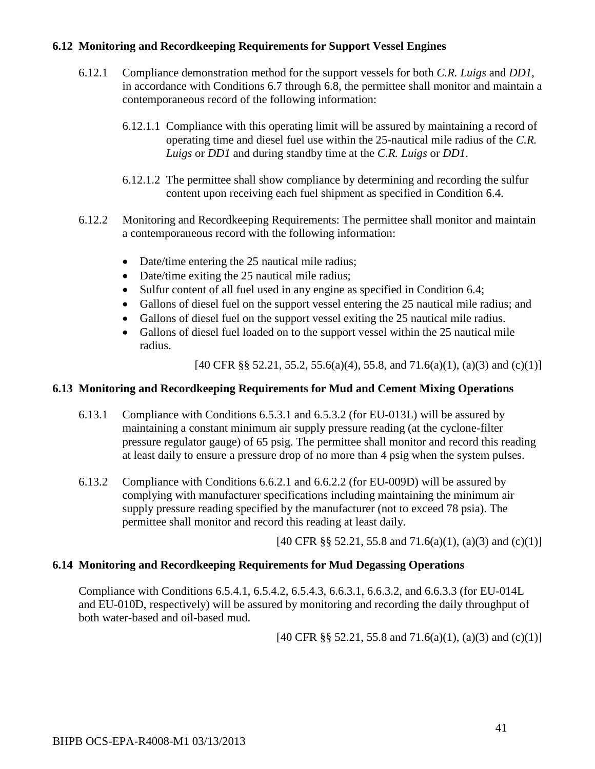### **6.12 Monitoring and Recordkeeping Requirements for Support Vessel Engines**

- 6.12.1 Compliance demonstration method for the support vessels for both *C.R. Luigs* and *DD1*, in accordance with Conditions 6.7 through 6.8, the permittee shall monitor and maintain a contemporaneous record of the following information:
	- 6.12.1.1 Compliance with this operating limit will be assured by maintaining a record of operating time and diesel fuel use within the 25-nautical mile radius of the *C.R. Luigs* or *DD1* and during standby time at the *C.R. Luigs* or *DD1*.
	- 6.12.1.2 The permittee shall show compliance by determining and recording the sulfur content upon receiving each fuel shipment as specified in Condition 6.4.
- 6.12.2 Monitoring and Recordkeeping Requirements: The permittee shall monitor and maintain a contemporaneous record with the following information:
	- Date/time entering the 25 nautical mile radius;
	- Date/time exiting the 25 nautical mile radius;
	- Sulfur content of all fuel used in any engine as specified in Condition 6.4;
	- Gallons of diesel fuel on the support vessel entering the 25 nautical mile radius; and
	- Gallons of diesel fuel on the support vessel exiting the 25 nautical mile radius.
	- Gallons of diesel fuel loaded on to the support vessel within the 25 nautical mile radius.

[40 CFR §§ 52.21, 55.2, 55.6(a)(4), 55.8, and 71.6(a)(1), (a)(3) and (c)(1)]

#### **6.13 Monitoring and Recordkeeping Requirements for Mud and Cement Mixing Operations**

- 6.13.1 Compliance with Conditions 6.5.3.1 and 6.5.3.2 (for EU-013L) will be assured by maintaining a constant minimum air supply pressure reading (at the cyclone-filter pressure regulator gauge) of 65 psig. The permittee shall monitor and record this reading at least daily to ensure a pressure drop of no more than 4 psig when the system pulses.
- 6.13.2 Compliance with Conditions 6.6.2.1 and 6.6.2.2 (for EU-009D) will be assured by complying with manufacturer specifications including maintaining the minimum air supply pressure reading specified by the manufacturer (not to exceed 78 psia). The permittee shall monitor and record this reading at least daily.

[40 CFR §§ 52.21, 55.8 and 71.6(a)(1), (a)(3) and (c)(1)]

#### **6.14 Monitoring and Recordkeeping Requirements for Mud Degassing Operations**

Compliance with Conditions 6.5.4.1, 6.5.4.2, 6.5.4.3, 6.6.3.1, 6.6.3.2, and 6.6.3.3 (for EU-014L and EU-010D, respectively) will be assured by monitoring and recording the daily throughput of both water-based and oil-based mud.

[40 CFR §§ 52.21, 55.8 and 71.6(a)(1), (a)(3) and (c)(1)]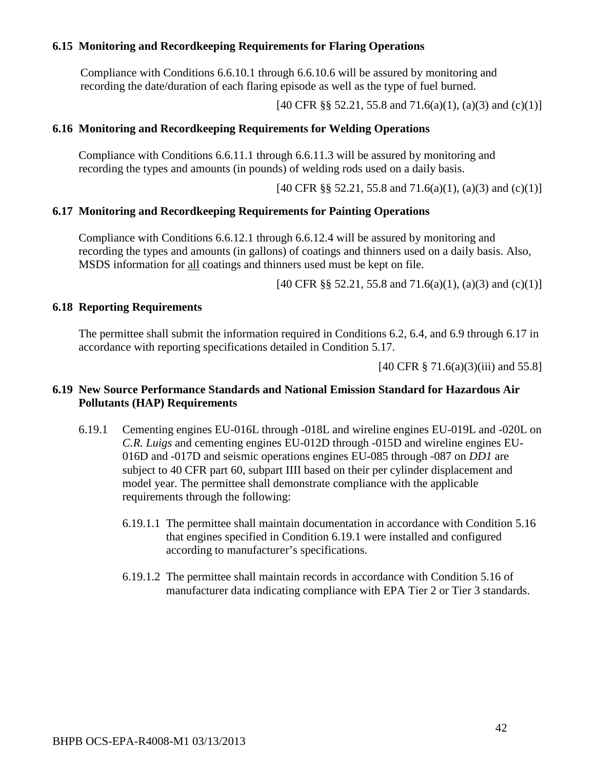#### **6.15 Monitoring and Recordkeeping Requirements for Flaring Operations**

Compliance with Conditions 6.6.10.1 through 6.6.10.6 will be assured by monitoring and recording the date/duration of each flaring episode as well as the type of fuel burned.

[40 CFR §§ 52.21, 55.8 and 71.6(a)(1), (a)(3) and (c)(1)]

#### **6.16 Monitoring and Recordkeeping Requirements for Welding Operations**

Compliance with Conditions 6.6.11.1 through 6.6.11.3 will be assured by monitoring and recording the types and amounts (in pounds) of welding rods used on a daily basis.

[40 CFR §§ 52.21, 55.8 and 71.6(a)(1), (a)(3) and (c)(1)]

#### **6.17 Monitoring and Recordkeeping Requirements for Painting Operations**

Compliance with Conditions 6.6.12.1 through 6.6.12.4 will be assured by monitoring and recording the types and amounts (in gallons) of coatings and thinners used on a daily basis. Also, MSDS information for all coatings and thinners used must be kept on file.

[40 CFR §§ 52.21, 55.8 and 71.6(a)(1), (a)(3) and (c)(1)]

#### **6.18 Reporting Requirements**

The permittee shall submit the information required in Conditions 6.2, 6.4, and 6.9 through 6.17 in accordance with reporting specifications detailed in Condition 5.17.

[40 CFR § 71.6(a)(3)(iii) and 55.8]

### **6.19 New Source Performance Standards and National Emission Standard for Hazardous Air Pollutants (HAP) Requirements**

- 6.19.1 Cementing engines EU-016L through -018L and wireline engines EU-019L and -020L on *C.R. Luigs* and cementing engines EU-012D through -015D and wireline engines EU-016D and -017D and seismic operations engines EU-085 through -087 on *DD1* are subject to 40 CFR part 60, subpart IIII based on their per cylinder displacement and model year. The permittee shall demonstrate compliance with the applicable requirements through the following:
	- 6.19.1.1 The permittee shall maintain documentation in accordance with Condition 5.16 that engines specified in Condition 6.19.1 were installed and configured according to manufacturer's specifications.
	- 6.19.1.2 The permittee shall maintain records in accordance with Condition 5.16 of manufacturer data indicating compliance with EPA Tier 2 or Tier 3 standards.